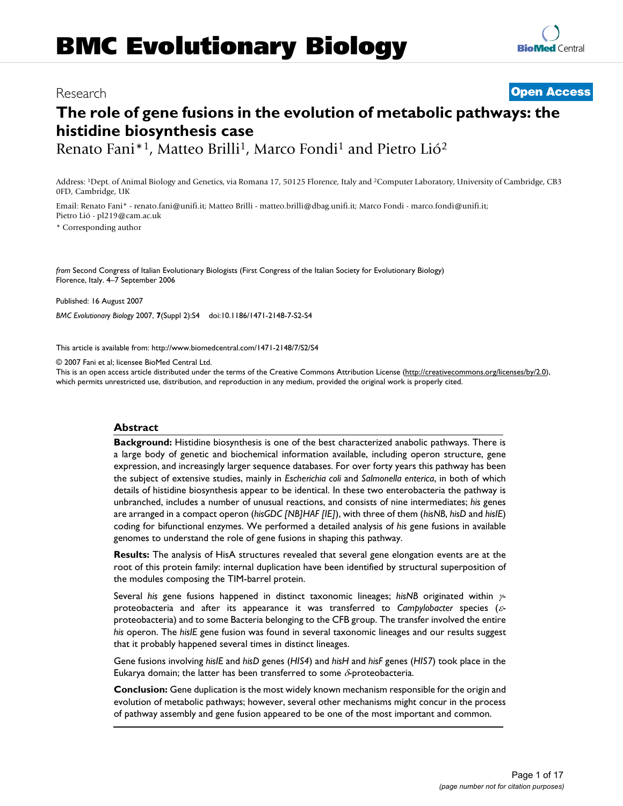# **[BioMed](http://www.biomedcentral.com/)** Central

# **The role of gene fusions in the evolution of metabolic pathways: the histidine biosynthesis case**

Renato Fani\*<sup>1</sup>, Matteo Brilli<sup>1</sup>, Marco Fondi<sup>1</sup> and Pietro Lió<sup>2</sup>

Address: 1Dept. of Animal Biology and Genetics, via Romana 17, 50125 Florence, Italy and 2Computer Laboratory, University of Cambridge, CB3 0FD, Cambridge, UK

Email: Renato Fani\* - renato.fani@unifi.it; Matteo Brilli - matteo.brilli@dbag.unifi.it; Marco Fondi - marco.fondi@unifi.it; Pietro Lió - pl219@cam.ac.uk

\* Corresponding author

*from* Second Congress of Italian Evolutionary Biologists (First Congress of the Italian Society for Evolutionary Biology) Florence, Italy. 4–7 September 2006

Published: 16 August 2007

*BMC Evolutionary Biology* 2007, **7**(Suppl 2):S4 doi:10.1186/1471-2148-7-S2-S4

[This article is available from: http://www.biomedcentral.com/1471-2148/7/S2/S4](http://www.biomedcentral.com/1471-2148/7/S2/S4)

© 2007 Fani et al; licensee BioMed Central Ltd.

This is an open access article distributed under the terms of the Creative Commons Attribution License [\(http://creativecommons.org/licenses/by/2.0\)](http://creativecommons.org/licenses/by/2.0), which permits unrestricted use, distribution, and reproduction in any medium, provided the original work is properly cited.

#### **Abstract**

**Background:** Histidine biosynthesis is one of the best characterized anabolic pathways. There is a large body of genetic and biochemical information available, including operon structure, gene expression, and increasingly larger sequence databases. For over forty years this pathway has been the subject of extensive studies, mainly in *Escherichia coli* and *Salmonella enterica*, in both of which details of histidine biosynthesis appear to be identical. In these two enterobacteria the pathway is unbranched, includes a number of unusual reactions, and consists of nine intermediates; *his* genes are arranged in a compact operon (*hisGDC [NB]HAF [IE]*), with three of them (*hisNB*, *hisD* and *hisIE*) coding for bifunctional enzymes. We performed a detailed analysis of *his* gene fusions in available genomes to understand the role of gene fusions in shaping this pathway.

**Results:** The analysis of HisA structures revealed that several gene elongation events are at the root of this protein family: internal duplication have been identified by structural superposition of the modules composing the TIM-barrel protein.

Several *his* gene fusions happened in distinct taxonomic lineages; *hisNB* originated within γproteobacteria and after its appearance it was transferred to *Campylobacter* species (εproteobacteria) and to some Bacteria belonging to the CFB group. The transfer involved the entire *his* operon. The *hisIE* gene fusion was found in several taxonomic lineages and our results suggest that it probably happened several times in distinct lineages.

Gene fusions involving *hisIE* and *hisD* genes (*HIS4*) and *hisH* and *hisF* genes (*HIS7*) took place in the Eukarya domain; the latter has been transferred to some  $\delta$ -proteobacteria.

**Conclusion:** Gene duplication is the most widely known mechanism responsible for the origin and evolution of metabolic pathways; however, several other mechanisms might concur in the process of pathway assembly and gene fusion appeared to be one of the most important and common.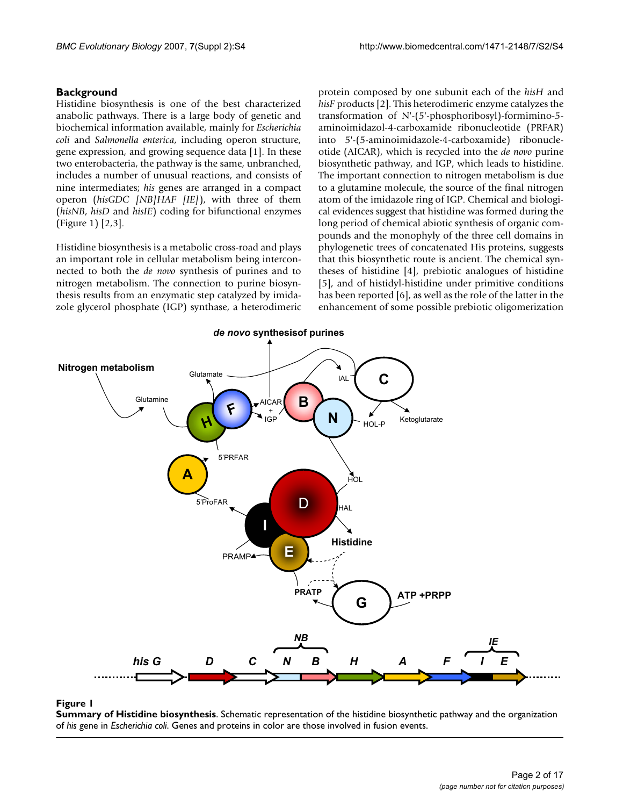#### **Background**

Histidine biosynthesis is one of the best characterized anabolic pathways. There is a large body of genetic and biochemical information available, mainly for *Escherichia coli* and *Salmonella enterica*, including operon structure, gene expression, and growing sequence data [1]. In these two enterobacteria, the pathway is the same, unbranched, includes a number of unusual reactions, and consists of nine intermediates; *his* genes are arranged in a compact operon (*hisGDC [NB]HAF [IE]*), with three of them (*hisNB*, *hisD* and *hisIE*) coding for bifunctional enzymes (Figure 1) [2,3].

Histidine biosynthesis is a metabolic cross-road and plays an important role in cellular metabolism being interconnected to both the *de novo* synthesis of purines and to nitrogen metabolism. The connection to purine biosynthesis results from an enzymatic step catalyzed by imidazole glycerol phosphate (IGP) synthase, a heterodimeric protein composed by one subunit each of the *hisH* and *hisF* products [2]. This heterodimeric enzyme catalyzes the transformation of N'-(5'-phosphoribosyl)-formimino-5 aminoimidazol-4-carboxamide ribonucleotide (PRFAR) into 5'-(5-aminoimidazole-4-carboxamide) ribonucleotide (AICAR), which is recycled into the *de novo* purine biosynthetic pathway, and IGP, which leads to histidine. The important connection to nitrogen metabolism is due to a glutamine molecule, the source of the final nitrogen atom of the imidazole ring of IGP. Chemical and biological evidences suggest that histidine was formed during the long period of chemical abiotic synthesis of organic compounds and the monophyly of the three cell domains in phylogenetic trees of concatenated His proteins, suggests that this biosynthetic route is ancient. The chemical syntheses of histidine [4], prebiotic analogues of histidine [5], and of histidyl-histidine under primitive conditions has been reported [6], as well as the role of the latter in the enhancement of some possible prebiotic oligomerization



#### **Figure 1**

**Summary of Histidine biosynthesis**. Schematic representation of the histidine biosynthetic pathway and the organization of *his* gene in *Escherichia coli*. Genes and proteins in color are those involved in fusion events.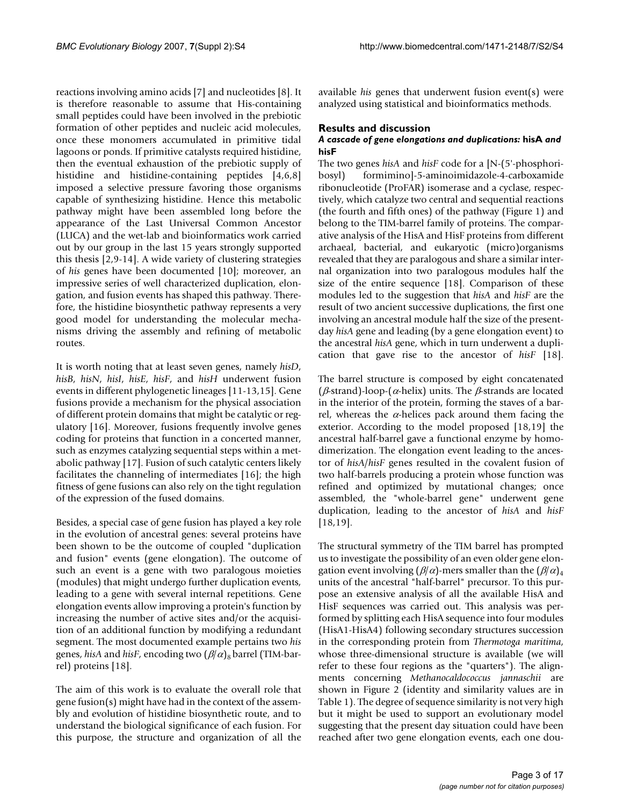reactions involving amino acids [7] and nucleotides [8]. It is therefore reasonable to assume that His-containing small peptides could have been involved in the prebiotic formation of other peptides and nucleic acid molecules, once these monomers accumulated in primitive tidal lagoons or ponds. If primitive catalysts required histidine, then the eventual exhaustion of the prebiotic supply of histidine and histidine-containing peptides [4,6,8] imposed a selective pressure favoring those organisms capable of synthesizing histidine. Hence this metabolic pathway might have been assembled long before the appearance of the Last Universal Common Ancestor (LUCA) and the wet-lab and bioinformatics work carried out by our group in the last 15 years strongly supported this thesis [2,9-14]. A wide variety of clustering strategies of *his* genes have been documented [10]; moreover, an impressive series of well characterized duplication, elongation, and fusion events has shaped this pathway. Therefore, the histidine biosynthetic pathway represents a very good model for understanding the molecular mechanisms driving the assembly and refining of metabolic routes.

It is worth noting that at least seven genes, namely *hisD*, *hisB*, *hisN*, *hisI*, *hisE*, *hisF*, and *hisH* underwent fusion events in different phylogenetic lineages [11-13,15]. Gene fusions provide a mechanism for the physical association of different protein domains that might be catalytic or regulatory [16]. Moreover, fusions frequently involve genes coding for proteins that function in a concerted manner, such as enzymes catalyzing sequential steps within a metabolic pathway [17]. Fusion of such catalytic centers likely facilitates the channeling of intermediates [16]; the high fitness of gene fusions can also rely on the tight regulation of the expression of the fused domains.

Besides, a special case of gene fusion has played a key role in the evolution of ancestral genes: several proteins have been shown to be the outcome of coupled "duplication and fusion" events (gene elongation). The outcome of such an event is a gene with two paralogous moieties (modules) that might undergo further duplication events, leading to a gene with several internal repetitions. Gene elongation events allow improving a protein's function by increasing the number of active sites and/or the acquisition of an additional function by modifying a redundant segment. The most documented example pertains two *his* genes, *hisA* and *hisF*, encoding two  $(\beta/\alpha)_{8}$  barrel (TIM-barrel) proteins [18].

The aim of this work is to evaluate the overall role that gene fusion(s) might have had in the context of the assembly and evolution of histidine biosynthetic route, and to understand the biological significance of each fusion. For this purpose, the structure and organization of all the available *his* genes that underwent fusion event(s) were analyzed using statistical and bioinformatics methods.

#### **Results and discussion**

#### *A cascade of gene elongations and duplications:* **hisA** *and*  **hisF**

The two genes *hisA* and *hisF* code for a [N-(5'-phosphoribosyl) formimino]-5-aminoimidazole-4-carboxamide ribonucleotide (ProFAR) isomerase and a cyclase, respectively, which catalyze two central and sequential reactions (the fourth and fifth ones) of the pathway (Figure 1) and belong to the TIM-barrel family of proteins. The comparative analysis of the HisA and HisF proteins from different archaeal, bacterial, and eukaryotic (micro)organisms revealed that they are paralogous and share a similar internal organization into two paralogous modules half the size of the entire sequence [18]. Comparison of these modules led to the suggestion that *hisA* and *hisF* are the result of two ancient successive duplications, the first one involving an ancestral module half the size of the presentday *hisA* gene and leading (by a gene elongation event) to the ancestral *hisA* gene, which in turn underwent a duplication that gave rise to the ancestor of *hisF* [18].

The barrel structure is composed by eight concatenated ( $\beta$ -strand)-loop-( $\alpha$ -helix) units. The  $\beta$ -strands are located in the interior of the protein, forming the staves of a barrel, whereas the  $\alpha$ -helices pack around them facing the exterior. According to the model proposed [18,19] the ancestral half-barrel gave a functional enzyme by homodimerization. The elongation event leading to the ancestor of *hisA*/*hisF* genes resulted in the covalent fusion of two half-barrels producing a protein whose function was refined and optimized by mutational changes; once assembled, the "whole-barrel gene" underwent gene duplication, leading to the ancestor of *hisA* and *hisF* [18,19].

The structural symmetry of the TIM barrel has prompted us to investigate the possibility of an even older gene elongation event involving  $(\beta/\alpha)$ -mers smaller than the  $(\beta/\alpha)_4$ units of the ancestral "half-barrel" precursor. To this purpose an extensive analysis of all the available HisA and HisF sequences was carried out. This analysis was performed by splitting each HisA sequence into four modules (HisA1-HisA4) following secondary structures succession in the corresponding protein from *Thermotoga maritima*, whose three-dimensional structure is available (we will refer to these four regions as the "quarters"). The alignments concerning *Methanocaldococcus jannaschii* are shown in Figure 2 (identity and similarity values are in Table 1). The degree of sequence similarity is not very high but it might be used to support an evolutionary model suggesting that the present day situation could have been reached after two gene elongation events, each one dou-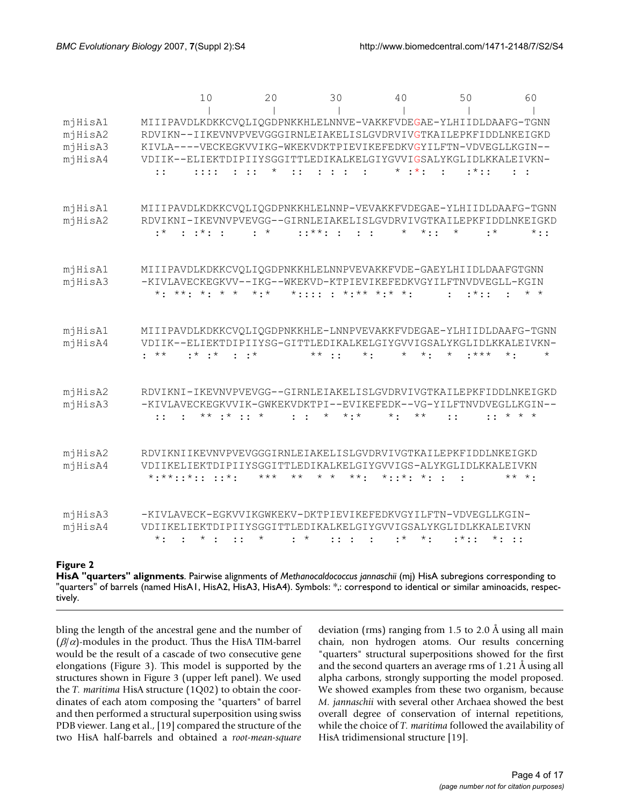|                    | 10                                                                                                                                 | 20                                                | 30                                                                               | 40                                                     | 50                           | 60             |
|--------------------|------------------------------------------------------------------------------------------------------------------------------------|---------------------------------------------------|----------------------------------------------------------------------------------|--------------------------------------------------------|------------------------------|----------------|
|                    |                                                                                                                                    |                                                   |                                                                                  |                                                        |                              |                |
| mjHisA1<br>mjHisA2 | MIIIPAVDLKDKKCVQLIQGDPNKKHLELNNVE-VAKKFVDEGAE-YLHIIDLDAAFG-TGNN<br>RDVIKN--IIKEVNVPVEVGGGIRNLEIAKELISLGVDRVIVGTKAILEPKFIDDLNKEIGKD |                                                   |                                                                                  |                                                        |                              |                |
| mjHisA3            | KIVLA----VECKEGKVVIKG-WKEKVDKTPIEVIKEFEDKVGYILFTN-VDVEGLLKGIN--                                                                    |                                                   |                                                                                  |                                                        |                              |                |
| mjHisA4            | VDIIK--ELIEKTDIPIIYSGGITTLEDIKALKELGIYGVVIGSALYKGLIDLKKALEIVKN-                                                                    |                                                   |                                                                                  |                                                        |                              |                |
|                    | $\mathbf{1}$ $\mathbf{1}$ $\mathbf{1}$<br>$\mathbf{1}$ :<br>: : : :                                                                | $^\star$<br>$\mathbf{1}$ :                        | $\mathbf{t}$ $\mathbf{t}$ $\mathbf{t}$                                           | $\star$ $\cdot$ $\star$ .<br>$\bullet$                 | $: * : :$                    | $\mathbf{r}$ : |
| mjHisA1            | MIIIPAVDLKDKKCVQLIQGDPNKKHLELNNP-VEVAKKFVDEGAE-YLHIIDLDAAFG-TGNN                                                                   |                                                   |                                                                                  |                                                        |                              |                |
| mjHisA2            | RDVIKNI-IKEVNVPVEVGG--GIRNLEIAKELISLGVDRVIVGTKAILEPKFIDDLNKEIGKD<br>$\cdot$ $\star$<br>$\cdot$ $\cdot$ $\star$ $\cdot$ $\cdot$     | $: :***:$ :<br>$\cdot$ $\star$                    | $\mathbf{t}$                                                                     | $\star$<br>$\star$ : :                                 | $\star$<br>$\cdot$ *         | $\star$ : :    |
| mjHisA1            | MIIIPAVDLKDKKCVQLIQGDPNKKHLELNNPVEVAKKFVDE-GAEYLHIIDLDAAFGTGNN                                                                     |                                                   |                                                                                  |                                                        |                              |                |
| mjHisA3            | -KIVLAVECKEGKVV--IKG--WKEKVD-KTPIEVIKEFEDKVGYILFTNVDVEGLL-KGIN                                                                     |                                                   |                                                                                  |                                                        |                              |                |
|                    | *********                                                                                                                          | $\star$ . $\star$                                 | $*$ ::::::: *:** *:* *:                                                          |                                                        | $\cdot$<br>$: * : :$         |                |
| mjHisA1            | MIIIPAVDLKDKKCVQLIQGDPNKKHLE-LNNPVEVAKKFVDEGAE-YLHIIDLDAAFG-TGNN                                                                   |                                                   |                                                                                  |                                                        |                              |                |
| mjHisA4            | VDIIK--ELIEKTDIPIIYSG-GITTLEDIKALKELGIYGVVIGSALYKGLIDLKKALEIVKN-<br>$\cdot$ *<br>$:$ $:$ $*$<br>$\star\star$<br>$\cdot$ $\star$    | $\star\,\star$                                    | $\pm$ :<br>$\star$ .                                                             | $\star$ .<br>$^\star$                                  | $\bullet$ * * *<br>$\star$ . | $\star$        |
| mjHisA2            | RDVIKNI-IKEVNVPVEVGG--GIRNLEIAKELISLGVDRVIVGTKAILEPKFIDDLNKEIGKD                                                                   |                                                   |                                                                                  |                                                        |                              |                |
| mjHisA3            | -KIVLAVECKEGKVVIK-GWKEKVDKTPI--EVIKEFEDK--VG-YILFTNVDVEGLLKGIN--<br>$***$ $***$ $***$ $*$<br>$\mathbf{1}$ .                        | $\ddot{\phantom{1}}$                              | $\star$<br>$\star$ : $\star$                                                     | $\star$ $\star$<br>$\star$ :                           | $\cdot$ :                    | $^{\star}$     |
| mjHisA2            | RDVIKNIIKEVNVPVEVGGGIRNLEIAKELISLGVDRVIVGTKAILEPKFIDDLNKEIGKD                                                                      |                                                   |                                                                                  |                                                        |                              |                |
| mjHisA4            | VDIIKELIEKTDIPIIYSGGITTLEDIKALKELGIYGVVIGS-ALYKGLIDLKKALEIVKN<br>$* \cdot * * \cdot \cdot * \cdot \cdot \cdot * \cdot *$           | $\star\star\star$<br>$\star\,\star$<br>$^{\star}$ | $\star$<br>$***$ .                                                               | $\star \cdot \cdot \star \cdot$<br>$\star$ .<br>$\sim$ | $\bullet$                    | $***$ *:       |
| mjHisA3            | -KIVLAVECK-EGKVVIKGWKEKV-DKTPIEVIKEFEDKVGYILFTN-VDVEGLLKGIN-                                                                       |                                                   |                                                                                  |                                                        |                              |                |
| mjHisA4            | VDIIKELIEKTDIPIIYSGGITTLEDIKALKELGIYGVVIGSALYKGLIDLKKALEIVKN                                                                       |                                                   |                                                                                  |                                                        |                              |                |
|                    | $\star$ .<br>$\mathbf{1}$ :                                                                                                        | $:$ $*$                                           | $\mathbf{1}$ :<br>$\ddot{\cdot}$                                                 | $\star$ .<br>$:$ $*$                                   | $: * : :$<br>$\star$ : ::    |                |
| Figure 2           |                                                                                                                                    |                                                   | $\mathbf{r}$ and $\mathbf{r}$ and $\mathbf{r}$ and $\mathbf{r}$ and $\mathbf{r}$ | $1.42 \times 1.14$                                     |                              |                |

**HisA "quarters" alignments**. Pairwise alignments of *Methanocaldococcus jannaschii* (mj) HisA subregions corresponding to "quarters" of barrels (named HisA1, HisA2, HisA3, HisA4). Symbols: \*,: correspond to identical or similar aminoacids, respectively.

bling the length of the ancestral gene and the number of  $(\beta/\alpha)$ -modules in the product. Thus the HisA TIM-barrel would be the result of a cascade of two consecutive gene elongations (Figure 3). This model is supported by the structures shown in Figure 3 (upper left panel). We used the *T. maritima* HisA structure (1Q02) to obtain the coordinates of each atom composing the "quarters" of barrel and then performed a structural superposition using swiss PDB viewer. Lang et al., [19] compared the structure of the two HisA half-barrels and obtained a *root-mean-square* deviation (rms) ranging from 1.5 to 2.0 Å using all main chain, non hydrogen atoms. Our results concerning "quarters" structural superpositions showed for the first and the second quarters an average rms of 1.21 Å using all alpha carbons, strongly supporting the model proposed. We showed examples from these two organism, because *M. jannaschii* with several other Archaea showed the best overall degree of conservation of internal repetitions, while the choice of *T. maritima* followed the availability of HisA tridimensional structure [19].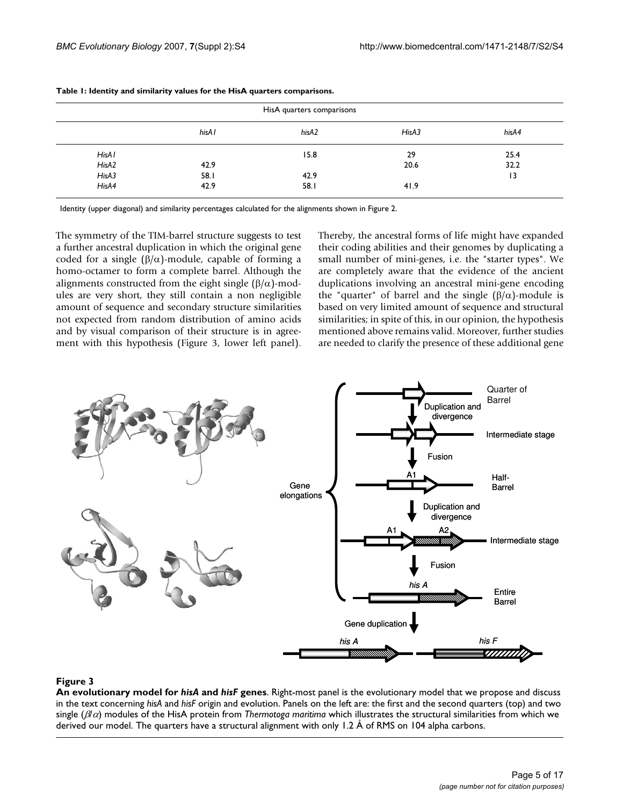| HisA quarters comparisons        |      |      |      |      |  |  |  |
|----------------------------------|------|------|------|------|--|--|--|
| hisA2<br>hisA1<br>HisA3<br>hisA4 |      |      |      |      |  |  |  |
| HisA1                            |      | 15.8 | 29   | 25.4 |  |  |  |
| HisA2                            | 42.9 |      | 20.6 | 32.2 |  |  |  |
| HisA3                            | 58.I | 42.9 |      | 13   |  |  |  |
| HisA4                            | 42.9 | 58.1 | 41.9 |      |  |  |  |

**Table 1: Identity and similarity values for the HisA quarters comparisons.** 

Identity (upper diagonal) and similarity percentages calculated for the alignments shown in Figure 2.

The symmetry of the TIM-barrel structure suggests to test a further ancestral duplication in which the original gene coded for a single ( $β/α$ )-module, capable of forming a homo-octamer to form a complete barrel. Although the alignments constructed from the eight single  $(\beta/\alpha)$ -modules are very short, they still contain a non negligible amount of sequence and secondary structure similarities not expected from random distribution of amino acids and by visual comparison of their structure is in agreement with this hypothesis (Figure 3, lower left panel).

Thereby, the ancestral forms of life might have expanded their coding abilities and their genomes by duplicating a small number of mini-genes, i.e. the "starter types". We are completely aware that the evidence of the ancient duplications involving an ancestral mini-gene encoding the "quarter" of barrel and the single  $(\beta/\alpha)$ -module is based on very limited amount of sequence and structural similarities; in spite of this, in our opinion, the hypothesis mentioned above remains valid. Moreover, further studies are needed to clarify the presence of these additional gene



#### **Figure 3**

**An evolutionary model for** *hisA* **and** *hisF* **genes**. Right-most panel is the evolutionary model that we propose and discuss in the text concerning *hisA* and *hisF* origin and evolution. Panels on the left are: the first and the second quarters (top) and two single (β/α) modules of the HisA protein from *Thermotoga maritima* which illustrates the structural similarities from which we derived our model. The quarters have a structural alignment with only 1.2 Å of RMS on 104 alpha carbons.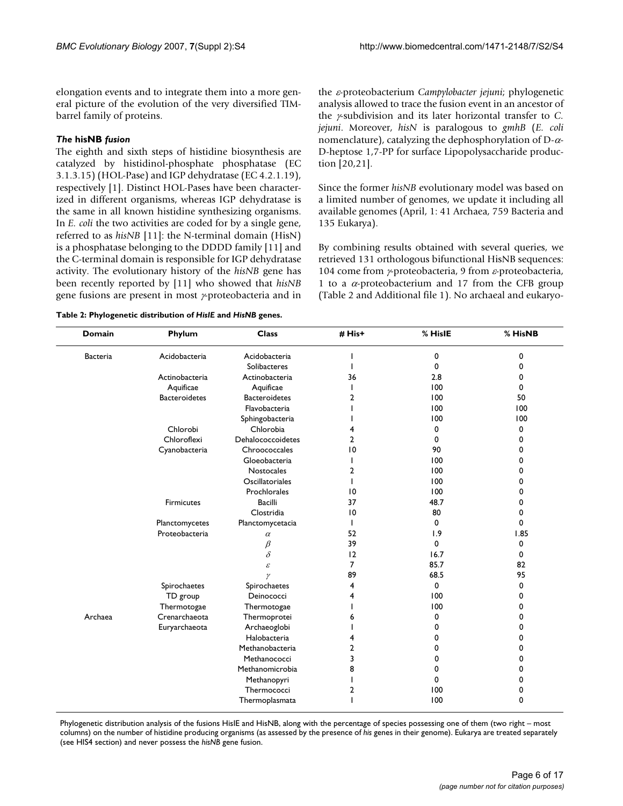elongation events and to integrate them into a more general picture of the evolution of the very diversified TIMbarrel family of proteins.

#### *The* **hisNB** *fusion*

The eighth and sixth steps of histidine biosynthesis are catalyzed by histidinol-phosphate phosphatase (EC 3.1.3.15) (HOL-Pase) and IGP dehydratase (EC 4.2.1.19), respectively [1]. Distinct HOL-Pases have been characterized in different organisms, whereas IGP dehydratase is the same in all known histidine synthesizing organisms. In *E. coli* the two activities are coded for by a single gene, referred to as *hisNB* [11]: the N-terminal domain (HisN) is a phosphatase belonging to the DDDD family [11] and the C-terminal domain is responsible for IGP dehydratase activity. The evolutionary history of the *hisNB* gene has been recently reported by [11] who showed that *hisNB* gene fusions are present in most γ-proteobacteria and in the ε-proteobacterium *Campylobacter jejuni*; phylogenetic analysis allowed to trace the fusion event in an ancestor of the γ-subdivision and its later horizontal transfer to *C. jejuni*. Moreover, *hisN* is paralogous to *gmhB* (*E. coli* nomenclature), catalyzing the dephosphorylation of D-α-D-heptose 1,7-PP for surface Lipopolysaccharide production [20,21].

Since the former *hisNB* evolutionary model was based on a limited number of genomes, we update it including all available genomes (April, 1: 41 Archaea, 759 Bacteria and 135 Eukarya).

By combining results obtained with several queries, we retrieved 131 orthologous bifunctional HisNB sequences: 104 come from γ-proteobacteria, 9 from ε-proteobacteria, 1 to a  $\alpha$ -proteobacterium and 17 from the CFB group (Table 2 and Additional file 1). No archaeal and eukaryo-

**Table 2: Phylogenetic distribution of** *HisIE* **and** *HisNB* **genes.** 

| Domain          | Phylum         | <b>Class</b>               | # His+ | % HislE     | % HisNB |
|-----------------|----------------|----------------------------|--------|-------------|---------|
| <b>Bacteria</b> | Acidobacteria  | Acidobacteria              |        | 0           | 0       |
|                 |                | Solibacteres               |        | 0           | 0       |
|                 | Actinobacteria | Actinobacteria             | 36     | 2.8         | 0       |
|                 | Aquificae      | Aquificae                  |        | 100         | 0       |
|                 | Bacteroidetes  | <b>Bacteroidetes</b>       | 2      | 100         | 50      |
|                 |                | Flavobacteria              |        | 100         | 100     |
|                 |                | Sphingobacteria            |        | 100         | 100     |
|                 | Chlorobi       | Chlorobia                  |        | 0           | 0       |
|                 | Chloroflexi    | Dehalococcoidetes          | 2      | 0           | 0       |
|                 | Cyanobacteria  | Chroococcales              | 10     | 90          | 0       |
|                 |                | Gloeobacteria              |        | 100         | 0       |
|                 |                | <b>Nostocales</b>          | 2      | 100         | 0       |
|                 |                | Oscillatoriales            |        | 100         | 0       |
|                 |                | Prochlorales               | 10     | 100         | 0       |
|                 | Firmicutes     | <b>Bacilli</b>             | 37     | 48.7        | 0       |
|                 |                | Clostridia                 | 10     | 80          | 0       |
|                 | Planctomycetes | Planctomycetacia           |        | 0           | 0       |
|                 | Proteobacteria | $\alpha$                   | 52     | 1.9         | 1.85    |
|                 |                | $\beta$                    | 39     | $\mathbf 0$ | 0       |
|                 |                | $\delta$                   | 12     | 16.7        | 0       |
|                 |                | $\boldsymbol{\varepsilon}$ | 7      | 85.7        | 82      |
|                 |                | $\gamma$                   | 89     | 68.5        | 95      |
|                 | Spirochaetes   | Spirochaetes               | 4      | $\mathbf 0$ | 0       |
|                 | TD group       | Deinococci                 | 4      | 100         | 0       |
|                 | Thermotogae    | Thermotogae                |        | 100         | 0       |
| Archaea         | Crenarchaeota  | Thermoprotei               | 6      | 0           | 0       |
|                 | Euryarchaeota  | Archaeoglobi               |        | 0           | 0       |
|                 |                | Halobacteria               | 4      | 0           | 0       |
|                 |                | Methanobacteria            | 2      | 0           | 0       |
|                 |                | Methanococci               | 3      | 0           | 0       |
|                 |                | Methanomicrobia            | 8      | 0           | 0       |
|                 |                | Methanopyri                |        | $\Omega$    | 0       |
|                 |                | Thermococci                | 2      | 100         | 0       |
|                 |                | Thermoplasmata             |        | 100         | 0       |

Phylogenetic distribution analysis of the fusions HisIE and HisNB, along with the percentage of species possessing one of them (two right – most columns) on the number of histidine producing organisms (as assessed by the presence of *his* genes in their genome). Eukarya are treated separately (see HIS4 section) and never possess the *hisNB* gene fusion.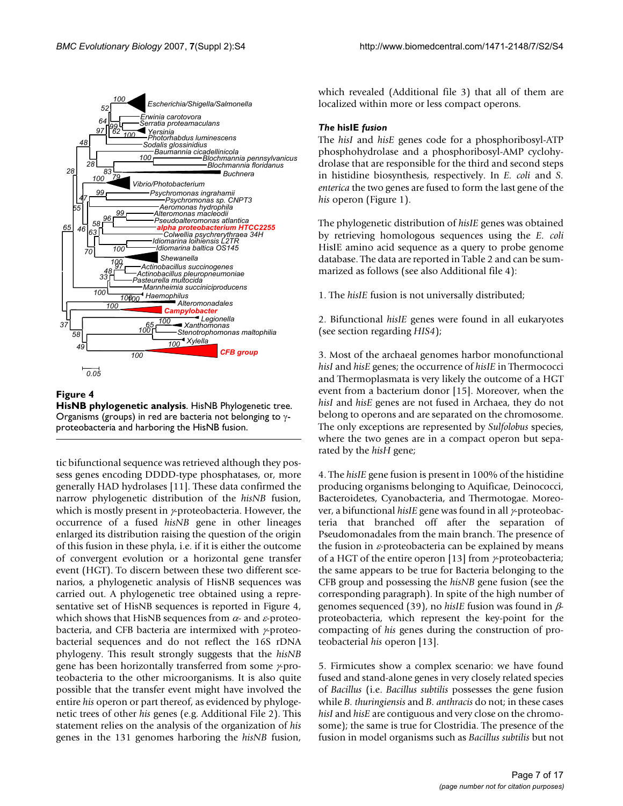

**HisNB phylogenetic analysis**. HisNB Phylogenetic tree. Organisms (groups) in red are bacteria not belonging to γproteobacteria and harboring the HisNB fusion.

tic bifunctional sequence was retrieved although they possess genes encoding DDDD-type phosphatases, or, more generally HAD hydrolases [11]. These data confirmed the narrow phylogenetic distribution of the *hisNB* fusion, which is mostly present in *γ*-proteobacteria. However, the occurrence of a fused *hisNB* gene in other lineages enlarged its distribution raising the question of the origin of this fusion in these phyla, i.e. if it is either the outcome of convergent evolution or a horizontal gene transfer event (HGT). To discern between these two different scenarios, a phylogenetic analysis of HisNB sequences was carried out. A phylogenetic tree obtained using a representative set of HisNB sequences is reported in Figure 4, which shows that HisNB sequences from  $\alpha$ - and  $\varepsilon$ -proteobacteria, and CFB bacteria are intermixed with γ-proteobacterial sequences and do not reflect the 16S rDNA phylogeny. This result strongly suggests that the *hisNB* gene has been horizontally transferred from some γ-proteobacteria to the other microorganisms. It is also quite possible that the transfer event might have involved the entire *his* operon or part thereof, as evidenced by phylogenetic trees of other *his* genes (e.g. Additional File 2). This statement relies on the analysis of the organization of *his* genes in the 131 genomes harboring the *hisNB* fusion,

which revealed (Additional file 3) that all of them are localized within more or less compact operons.

#### *The* **hisIE** *fusion*

The *hisI* and *hisE* genes code for a phosphoribosyl-ATP phosphohydrolase and a phosphoribosyl-AMP cyclohydrolase that are responsible for the third and second steps in histidine biosynthesis, respectively. In *E. coli* and *S. enterica* the two genes are fused to form the last gene of the *his* operon (Figure 1).

The phylogenetic distribution of *hisIE* genes was obtained by retrieving homologous sequences using the *E. coli* HisIE amino acid sequence as a query to probe genome database. The data are reported in Table 2 and can be summarized as follows (see also Additional file 4):

1. The *hisIE* fusion is not universally distributed;

2. Bifunctional *hisIE* genes were found in all eukaryotes (see section regarding *HIS4*);

3. Most of the archaeal genomes harbor monofunctional *hisI* and *hisE* genes; the occurrence of *hisIE* in Thermococci and Thermoplasmata is very likely the outcome of a HGT event from a bacterium donor [15]. Moreover, when the *hisI* and *hisE* genes are not fused in Archaea, they do not belong to operons and are separated on the chromosome. The only exceptions are represented by *Sulfolobus* species, where the two genes are in a compact operon but separated by the *hisH* gene;

4. The *hisIE* gene fusion is present in 100% of the histidine producing organisms belonging to Aquificae, Deinococci, Bacteroidetes, Cyanobacteria, and Thermotogae. Moreover, a bifunctional *hisIE* gene was found in all γ-proteobacteria that branched off after the separation of Pseudomonadales from the main branch. The presence of the fusion in  $\varepsilon$ -proteobacteria can be explained by means of a HGT of the entire operon [13] from  $\gamma$ -proteobacteria; the same appears to be true for Bacteria belonging to the CFB group and possessing the *hisNB* gene fusion (see the corresponding paragraph). In spite of the high number of genomes sequenced (39), no *hisIE* fusion was found in βproteobacteria, which represent the key-point for the compacting of *his* genes during the construction of proteobacterial *his* operon [13].

5. Firmicutes show a complex scenario: we have found fused and stand-alone genes in very closely related species of *Bacillus* (i.e. *Bacillus subtilis* possesses the gene fusion while *B. thuringiensis* and *B. anthracis* do not; in these cases *hisI* and *hisE* are contiguous and very close on the chromosome); the same is true for Clostridia. The presence of the fusion in model organisms such as *Bacillus subtilis* but not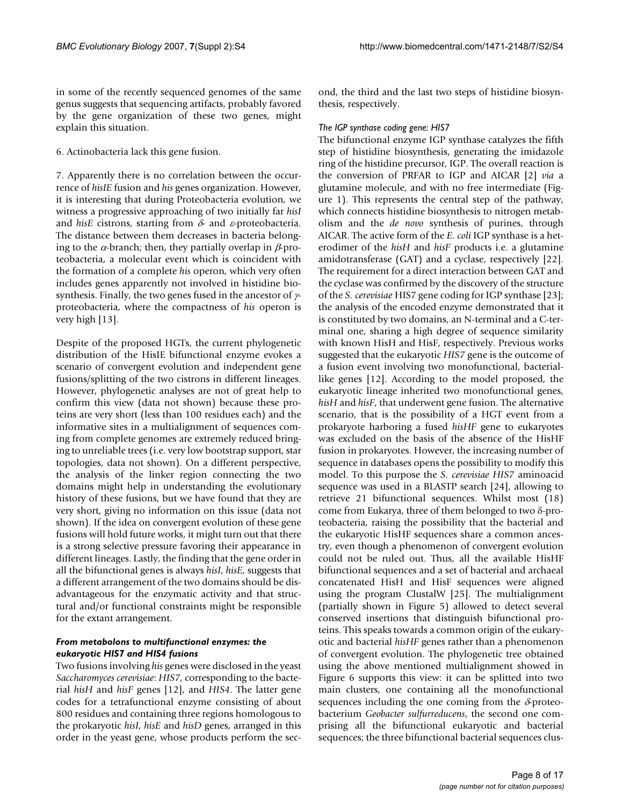in some of the recently sequenced genomes of the same genus suggests that sequencing artifacts, probably favored by the gene organization of these two genes, might explain this situation.

6. Actinobacteria lack this gene fusion.

7. Apparently there is no correlation between the occurrence of *hisIE* fusion and *his* genes organization. However, it is interesting that during Proteobacteria evolution, we witness a progressive approaching of two initially far *hisI* and *hisE* cistrons, starting from  $\delta$ - and  $\varepsilon$ -proteobacteria. The distance between them decreases in bacteria belonging to the  $\alpha$ -branch; then, they partially overlap in  $\beta$ -proteobacteria, a molecular event which is coincident with the formation of a complete *his* operon, which very often includes genes apparently not involved in histidine biosynthesis. Finally, the two genes fused in the ancestor of  $\gamma$ proteobacteria, where the compactness of *his* operon is very high [13].

Despite of the proposed HGTs, the current phylogenetic distribution of the HisIE bifunctional enzyme evokes a scenario of convergent evolution and independent gene fusions/splitting of the two cistrons in different lineages. However, phylogenetic analyses are not of great help to confirm this view (data not shown) because these proteins are very short (less than 100 residues each) and the informative sites in a multialignment of sequences coming from complete genomes are extremely reduced bringing to unreliable trees (i.e. very low bootstrap support, star topologies, data not shown). On a different perspective, the analysis of the linker region connecting the two domains might help in understanding the evolutionary history of these fusions, but we have found that they are very short, giving no information on this issue (data not shown). If the idea on convergent evolution of these gene fusions will hold future works, it might turn out that there is a strong selective pressure favoring their appearance in different lineages. Lastly, the finding that the gene order in all the bifunctional genes is always *hisI*, *hisE*, suggests that a different arrangement of the two domains should be disadvantageous for the enzymatic activity and that structural and/or functional constraints might be responsible for the extant arrangement.

#### *From metabolons to multifunctional enzymes: the eukaryotic HIS7 and HIS4 fusions*

Two fusions involving *his* genes were disclosed in the yeast *Saccharomyces cerevisiae*: *HIS7*, corresponding to the bacterial *hisH* and *hisF* genes [12], and *HIS4*. The latter gene codes for a tetrafunctional enzyme consisting of about 800 residues and containing three regions homologous to the prokaryotic *hisI*, *hisE* and *hisD* genes, arranged in this order in the yeast gene, whose products perform the second, the third and the last two steps of histidine biosynthesis, respectively.

#### *The IGP synthase coding gene: HIS7*

The bifunctional enzyme IGP synthase catalyzes the fifth step of histidine biosynthesis, generating the imidazole ring of the histidine precursor, IGP. The overall reaction is the conversion of PRFAR to IGP and AICAR [2] *via* a glutamine molecule, and with no free intermediate (Figure 1). This represents the central step of the pathway, which connects histidine biosynthesis to nitrogen metabolism and the *de novo* synthesis of purines, through AICAR. The active form of the *E. coli* IGP synthase is a heterodimer of the *hisH* and *hisF* products i.e. a glutamine amidotransferase (GAT) and a cyclase, respectively [22]. The requirement for a direct interaction between GAT and the cyclase was confirmed by the discovery of the structure of the *S. cerevisiae* HIS7 gene coding for IGP synthase [23]; the analysis of the encoded enzyme demonstrated that it is constituted by two domains, an N-terminal and a C-terminal one, sharing a high degree of sequence similarity with known HisH and HisF, respectively. Previous works suggested that the eukaryotic *HIS7* gene is the outcome of a fusion event involving two monofunctional, bacteriallike genes [12]. According to the model proposed, the eukaryotic lineage inherited two monofunctional genes, *hisH* and *hisF*, that underwent gene fusion. The alternative scenario, that is the possibility of a HGT event from a prokaryote harboring a fused *hisHF* gene to eukaryotes was excluded on the basis of the absence of the HisHF fusion in prokaryotes. However, the increasing number of sequence in databases opens the possibility to modify this model. To this purpose the *S. cerevisiae HIS7* aminoacid sequence was used in a BLASTP search [24], allowing to retrieve 21 bifunctional sequences. Whilst most (18) come from Eukarya, three of them belonged to two δ-proteobacteria, raising the possibility that the bacterial and the eukaryotic HisHF sequences share a common ancestry, even though a phenomenon of convergent evolution could not be ruled out. Thus, all the available HisHF bifunctional sequences and a set of bacterial and archaeal concatenated HisH and HisF sequences were aligned using the program ClustalW [25]. The multialignment (partially shown in Figure 5) allowed to detect several conserved insertions that distinguish bifunctional proteins. This speaks towards a common origin of the eukaryotic and bacterial *hisHF* genes rather than a phenomenon of convergent evolution. The phylogenetic tree obtained using the above mentioned multialignment showed in Figure 6 supports this view: it can be splitted into two main clusters, one containing all the monofunctional sequences including the one coming from the  $\delta$ -proteobacterium *Geobacter sulfurreducens*, the second one comprising all the bifunctional eukaryotic and bacterial sequences; the three bifunctional bacterial sequences clus-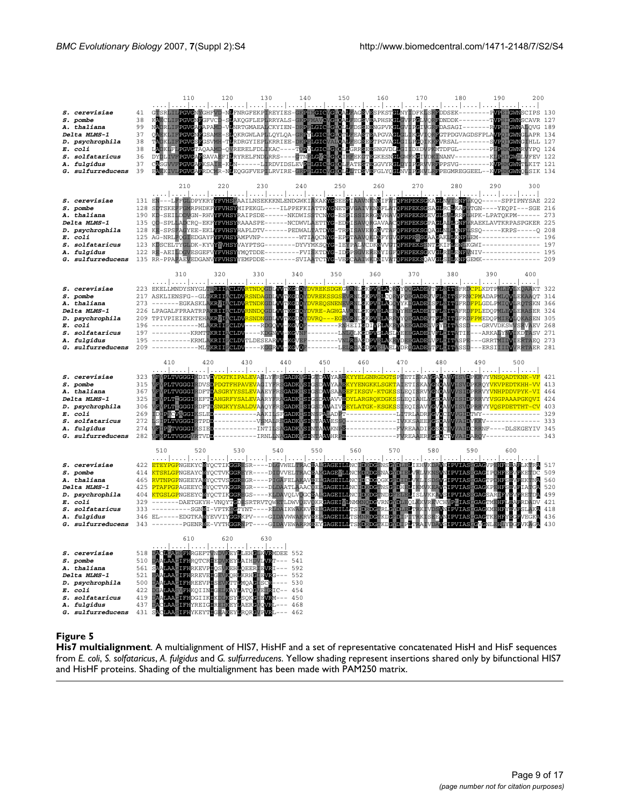|                                                                                                                                                                                                                                                                                                                                                                                                              | 110                                                                                                                                                                                                                                                                                                                                                                                                 |     | 120 130                                                                                                        | 140 | 150 | 160        |     | 170 180 | 190 | 200 |  |
|--------------------------------------------------------------------------------------------------------------------------------------------------------------------------------------------------------------------------------------------------------------------------------------------------------------------------------------------------------------------------------------------------------------|-----------------------------------------------------------------------------------------------------------------------------------------------------------------------------------------------------------------------------------------------------------------------------------------------------------------------------------------------------------------------------------------------------|-----|----------------------------------------------------------------------------------------------------------------|-----|-----|------------|-----|---------|-----|-----|--|
| 5. corresting (VCR)-SHIP (VCR)-NIPROFERENCE PIRRYIES -CREPTANCYCLONERSTORNSTORNERS PRESERVED DENSITY (VCR)-SHIP (VCR)-SHIP (VCR)-SHIP (VCR)-SHIP (VCR)-SHIP (VCR)-SHIP (VCR)-SHIP (VCR)-SHIP (VCR)-SHIP (VCR)-SHIP (VCR)-SHI<br>G. sulfurreducens 39                                                                                                                                                         | ENERTYLE CONFERENCE NEWSLET LEVIER ERSERVED PLATFORMER ELECTIONS ENTERTRESSERIES AND MANIFORMER AND THE 134                                                                                                                                                                                                                                                                                         |     | . [[منظرا منظرا منظرا منظرا منظرا منظرا منظرا منظرا منظرا منظرا منظرا منظرا منظرا متطرقتنا ومنظرا منظرا        |     |     |            |     |         |     |     |  |
|                                                                                                                                                                                                                                                                                                                                                                                                              | 210                                                                                                                                                                                                                                                                                                                                                                                                 | 220 | 230                                                                                                            | 240 | 250 | 260        | 270 | 280     | 290 | 300 |  |
| <i>S.</i> cerevisiae<br><i>S.</i> pombe<br>A. thaliana<br>A. thaliana and the SEILDVGN-RHVYFVHSYRAIPSDE------NKDMISTENTYC-ESSIRRGEVHAVQPHPEKSGEVGESUMERELHPK ------ 273<br>Delta MLMS-1 138 QD-SPLLADCRQ-EKFYFVHSYRAAASPE-------NCDWULRETYC-EDENISIRROQAVAACQPHPEKSGEVGEALIGNELREKER<br>D. p                                                                                                                 | 131 EN---LEFGEDPYKRY <b>MEVHSFAATLNSEKKKNLENDGWKIEKAKKGSEERIAAVNENNIFFTEHPEKSGKAGENNIFFNDEH</b> KQQ-----SPPIPNYSAE 222<br>128 SPTSKEFFGMRPHDKFVFVHSYMIPEKGL----ILPPEFKIATTK <mark>YG</mark> NET <mark>B</mark> VGAIVKNNFLATOFHPEKSGSAGLROLKABLTGN----YEQPI---SGE 216<br>190 KD-SEILDDVGN-RHVYFVHSYRAIPSDE------NKDWISSTCNYG-ESFISSIRRGNVHAVQFHPEKSGEV <mark>CL</mark> SVLRRELHPK-LPATQKPM------ 273 |     |                                                                                                                |     |     |            |     |         |     |     |  |
|                                                                                                                                                                                                                                                                                                                                                                                                              | 310                                                                                                                                                                                                                                                                                                                                                                                                 | 320 | 330                                                                                                            | 340 | 350 | 360        | 370 | 380     | 390 | 400 |  |
| 8. cerevisiae 223 EKELLMNDYSGLPRETIACLDVRTNDCGDLWTKCDOYDVREKSDCKNLCKCDCRADETTELATERTPENTERTASPER. 223<br>27 SKELLMNDYSGLPRETIACLDVRTNDCGDLWTKCDOYDVREKSSCSEVRNLCKPVDLCORYFOEGADETTELATERTROPMADAPMLOVEKAAOT 314<br>273 ---------<br>6. sulfurreducens 209 ------------MLTKRIIPCLDV----KGGRVV-KGVOF--------LELRDAGDPVETAELYDROGADELTFLDITASSD---ERSIIIDVVRRTAER 281                                           |                                                                                                                                                                                                                                                                                                                                                                                                     |     |                                                                                                                |     |     |            |     |         |     |     |  |
|                                                                                                                                                                                                                                                                                                                                                                                                              | 410                                                                                                                                                                                                                                                                                                                                                                                                 | 420 | 430                                                                                                            | 440 | 450 | 460<br>470 |     | 480     | 490 | 500 |  |
|                                                                                                                                                                                                                                                                                                                                                                                                              |                                                                                                                                                                                                                                                                                                                                                                                                     |     | المتما وبواريس المتمرا ويتمرا وبور المتمرا ويتمل ويتمرا ويتمر المتمرا ويتمر المتمر المتمر المتمرا ويتمرآ ويتمر |     |     |            |     |         |     |     |  |
|                                                                                                                                                                                                                                                                                                                                                                                                              | 510                                                                                                                                                                                                                                                                                                                                                                                                 | 520 | 530<br>540                                                                                                     | 550 | 560 | 570        | 580 | 590     | 600 |     |  |
| $\begin{tabular}{lllllll} $5. \textbf{cercivside} & $100$ & $100$ & $100$\\ \textbf{5. }\textbf{prime} & $100$ & $100$\\ \textbf{6. } \textbf{solfataricus} & $1010$ & $1000$\\ \textbf{7. }\textbf{solfataricus} & $1010$ & $1000$\\ \textbf{7. }\textbf{solfolarrices} & $1010$ & $1000$\\ \textbf{7. }\textbf{solfolarrices} & $1010$ & $10000$\\ \textbf{7. }\textbf{solfolarrices} & $10100$ & $10100$$ |                                                                                                                                                                                                                                                                                                                                                                                                     |     |                                                                                                                |     |     |            |     |         |     |     |  |
| <i>S. cerevisiae</i><br>S. DOMBE 510 DARDAR ETHROTORIED WESTLATED (LORD 1-1 541)<br>Delta Muns-1<br>D. psychrophila 300 DARIAACIFFREEVPISEWRTTMOACISCR---- 530<br>E. coli 322 DGADAASVFFRCIINTSELKAYIATOGVELRIC-- 454<br>S. solfataricus 419 DARIAACIFFROIIKIKDLKSYLSQKGIEWRM--- 450<br>A. fulgidus 437 DACDAASIFFREEUFREE<br>G. sulfurreducens 431 SACLAASIFHYKEYTIGEAKEYLRQRGVPVRL--- 462                  | 610<br>518 DACLGAGMURRGEFTVNDVKEYLLEHGLKVRMDEE 552                                                                                                                                                                                                                                                                                                                                                  | 620 | 630                                                                                                            |     |     |            |     |         |     |     |  |

**His7 multialignment**. A multialignment of HIS7, HisHF and a set of representative concatenated HisH and HisF sequences from *E. coli*, *S. solfataricus*, *A. fulgidus* and *G. sulfurreducens*. Yellow shading represent insertions shared only by bifunctional HIS7 and HisHF proteins. Shading of the multialignment has been made with PAM250 matrix.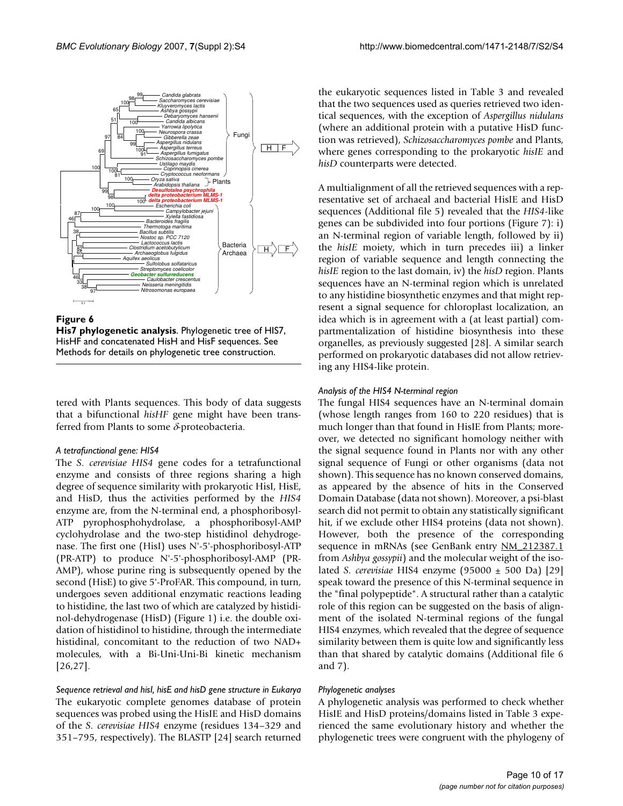

**His7 phylogenetic analysis**. Phylogenetic tree of HIS7, HisHF and concatenated HisH and HisF sequences. See Methods for details on phylogenetic tree construction.

tered with Plants sequences. This body of data suggests that a bifunctional *hisHF* gene might have been transferred from Plants to some  $\delta$ -proteobacteria.

#### *A tetrafunctional gene: HIS4*

The *S. cerevisiae HIS4* gene codes for a tetrafunctional enzyme and consists of three regions sharing a high degree of sequence similarity with prokaryotic HisI, HisE, and HisD, thus the activities performed by the *HIS4* enzyme are, from the N-terminal end, a phosphoribosyl-ATP pyrophosphohydrolase, a phosphoribosyl-AMP cyclohydrolase and the two-step histidinol dehydrogenase. The first one (HisI) uses N'-5'-phosphoribosyl-ATP (PR-ATP) to produce N'-5'-phosphoribosyl-AMP (PR-AMP), whose purine ring is subsequently opened by the second (HisE) to give 5'-ProFAR. This compound, in turn, undergoes seven additional enzymatic reactions leading to histidine, the last two of which are catalyzed by histidinol-dehydrogenase (HisD) (Figure 1) i.e. the double oxidation of histidinol to histidine, through the intermediate histidinal, concomitant to the reduction of two NAD+ molecules, with a Bi-Uni-Uni-Bi kinetic mechanism [26,27].

*Sequence retrieval and hisI, hisE and hisD gene structure in Eukarya* The eukaryotic complete genomes database of protein sequences was probed using the HisIE and HisD domains of the *S. cerevisiae HIS4* enzyme (residues 134–329 and 351–795, respectively). The BLASTP [24] search returned

the eukaryotic sequences listed in Table 3 and revealed that the two sequences used as queries retrieved two identical sequences, with the exception of *Aspergillus nidulans* (where an additional protein with a putative HisD function was retrieved), *Schizosaccharomyces pombe* and Plants, where genes corresponding to the prokaryotic *hisIE* and *hisD* counterparts were detected.

A multialignment of all the retrieved sequences with a representative set of archaeal and bacterial HisIE and HisD sequences (Additional file 5) revealed that the *HIS4*-like genes can be subdivided into four portions (Figure 7): i) an N-terminal region of variable length, followed by ii) the *hisIE* moiety, which in turn precedes iii) a linker region of variable sequence and length connecting the *hisIE* region to the last domain, iv) the *hisD* region. Plants sequences have an N-terminal region which is unrelated to any histidine biosynthetic enzymes and that might represent a signal sequence for chloroplast localization, an idea which is in agreement with a (at least partial) compartmentalization of histidine biosynthesis into these organelles, as previously suggested [28]. A similar search performed on prokaryotic databases did not allow retrieving any HIS4-like protein.

#### *Analysis of the HIS4 N-terminal region*

The fungal HIS4 sequences have an N-terminal domain (whose length ranges from 160 to 220 residues) that is much longer than that found in HisIE from Plants; moreover, we detected no significant homology neither with the signal sequence found in Plants nor with any other signal sequence of Fungi or other organisms (data not shown). This sequence has no known conserved domains, as appeared by the absence of hits in the Conserved Domain Database (data not shown). Moreover, a psi-blast search did not permit to obtain any statistically significant hit, if we exclude other HIS4 proteins (data not shown). However, both the presence of the corresponding sequence in mRNAs (see GenBank entry [NM\\_212387.1](http://www.ncbi.nih.gov/entrez/query.fcgi?db=Nucleotide&cmd=search&term=NM_212387.1) from *Ashbya gossypii*) and the molecular weight of the isolated *S. cerevisiae* HIS4 enzyme (95000 ± 500 Da) [[29\]](#page-15-0) speak toward the presence of this N-terminal sequence in the "final polypeptide". A structural rather than a catalytic role of this region can be suggested on the basis of alignment of the isolated N-terminal regions of the fungal HIS4 enzymes, which revealed that the degree of sequence similarity between them is quite low and significantly less than that shared by catalytic domains (Additional file 6 and 7).

#### *Phylogenetic analyses*

A phylogenetic analysis was performed to check whether HisIE and HisD proteins/domains listed in Table 3 experienced the same evolutionary history and whether the phylogenetic trees were congruent with the phylogeny of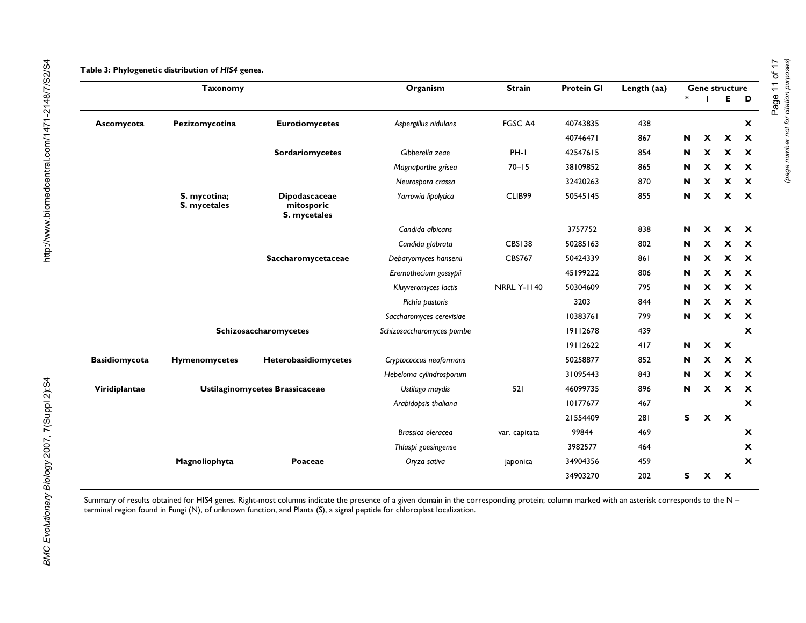| structure<br>Ī           |
|--------------------------|
| ž                        |
| $\overline{\phantom{a}}$ |
| J                        |
| ž                        |
|                          |

Page 11 of 17

*(page number not for citation purposes)*

Page number not for citation purposes)<br>T1 of 17

#### **Table 3: Phylogenetic distribution of** *HIS4* **genes.**

| <b>Taxonomy</b>      |                              |                                                    | Organism                  | <b>Strain</b>      | <b>Protein GI</b> | Length (aa) | <b>Gene structure</b> |                           |                           |                           |
|----------------------|------------------------------|----------------------------------------------------|---------------------------|--------------------|-------------------|-------------|-----------------------|---------------------------|---------------------------|---------------------------|
|                      |                              |                                                    |                           |                    |                   |             | *                     |                           | Е                         | D                         |
| Ascomycota           | Pezizomycotina               | <b>Eurotiomycetes</b>                              | Aspergillus nidulans      | FGSC A4            | 40743835          | 438         |                       |                           |                           | $\boldsymbol{\mathsf{x}}$ |
|                      |                              |                                                    |                           |                    | 40746471          | 867         | N                     | $\mathbf{x}$              | $\mathbf{x}$              | $\mathbf{x}$              |
|                      |                              | <b>Sordariomycetes</b>                             | Gibberella zeae           | PH-I               | 42547615          | 854         | N                     | $\mathbf{x}$              | х                         | X                         |
|                      |                              |                                                    | Magnaporthe grisea        | $70 - 15$          | 38109852          | 865         | N                     | $\mathbf{x}$              | X                         | X                         |
|                      |                              |                                                    | Neurospora crassa         |                    | 32420263          | 870         | N                     | X                         | x                         | $\mathbf{x}$              |
|                      | S. mycotina;<br>S. mycetales | <b>Dipodascaceae</b><br>mitosporic<br>S. mycetales | Yarrowia lipolytica       | CLIB99             | 50545145          | 855         | N                     | X                         | $\boldsymbol{\mathsf{x}}$ | $\mathbf{x}$              |
|                      |                              |                                                    | Candida albicans          |                    | 3757752           | 838         | N                     | X                         | x                         | X                         |
|                      |                              |                                                    | Candida glabrata          | <b>CBS138</b>      | 50285163          | 802         | N                     | X                         | X                         | $\mathbf{x}$              |
|                      |                              | Saccharomycetaceae                                 | Debaryomyces hansenii     | <b>CBS767</b>      | 50424339          | 861         | N                     | $\mathbf{x}$              | x                         | $\mathbf{x}$              |
|                      |                              |                                                    | Eremothecium gossypii     |                    | 45199222          | 806         | N                     | X                         | x                         | X                         |
|                      |                              |                                                    | Kluyveromyces lactis      | <b>NRRL Y-1140</b> | 50304609          | 795         | N                     | $\mathbf{x}$              | x                         | X                         |
|                      |                              |                                                    | Pichia pastoris           |                    | 3203              | 844         | N                     | X                         | x                         | X                         |
|                      |                              |                                                    | Saccharomyces cerevisiae  |                    | 10383761          | 799         | N                     | $\mathbf{x}$              | X                         | $\mathbf{x}$              |
|                      | Schizosaccharomycetes        |                                                    | Schizosaccharomyces pombe |                    | 19112678          | 439         |                       |                           |                           | $\mathbf{x}$              |
|                      |                              |                                                    |                           |                    | 19112622          | 417         | N                     | $\mathbf{x}$              | $\boldsymbol{\mathsf{x}}$ |                           |
| <b>Basidiomycota</b> | <b>Hymenomycetes</b>         | Heterobasidiomycetes                               | Cryptococcus neoformans   |                    | 50258877          | 852         | N                     | $\boldsymbol{\mathsf{x}}$ | X                         | X                         |
|                      |                              |                                                    | Hebeloma cylindrosporum   |                    | 31095443          | 843         | N                     | $\mathbf{x}$              | x                         | X                         |
| Viridiplantae        |                              | Ustilaginomycetes Brassicaceae                     | Ustilago maydis           | 521                | 46099735          | 896         | N                     | $\mathbf{x}$              | X                         | $\mathbf{x}$              |
|                      |                              |                                                    | Arabidopsis thaliana      |                    | 10177677          | 467         |                       |                           |                           | $\boldsymbol{\mathsf{x}}$ |
|                      |                              |                                                    |                           |                    | 21554409          | 281         | S                     | $\mathbf{x}$              | $\boldsymbol{\mathsf{x}}$ |                           |
|                      |                              |                                                    | Brassica oleracea         | var. capitata      | 99844             | 469         |                       |                           |                           | $\boldsymbol{\mathsf{x}}$ |
|                      |                              |                                                    | Thlaspi goesingense       |                    | 3982577           | 464         |                       |                           |                           | $\boldsymbol{\mathsf{x}}$ |
|                      | Magnoliophyta                | Poaceae                                            | Oryza sativa              | japonica           | 34904356          | 459         |                       |                           |                           | $\mathbf{x}$              |
|                      |                              |                                                    |                           |                    | 34903270          | 202         | S                     | $\mathsf{x}$              | $\mathbf{x}$              |                           |

Summary of results obtained for HIS4 genes. Right-most columns indicate the presence of a given domain in the corresponding protein; column marked with an asterisk corresponds to the N – terminal region found in Fungi (N), of unknown function, and Plants (S), a signal peptide for chloroplast localization.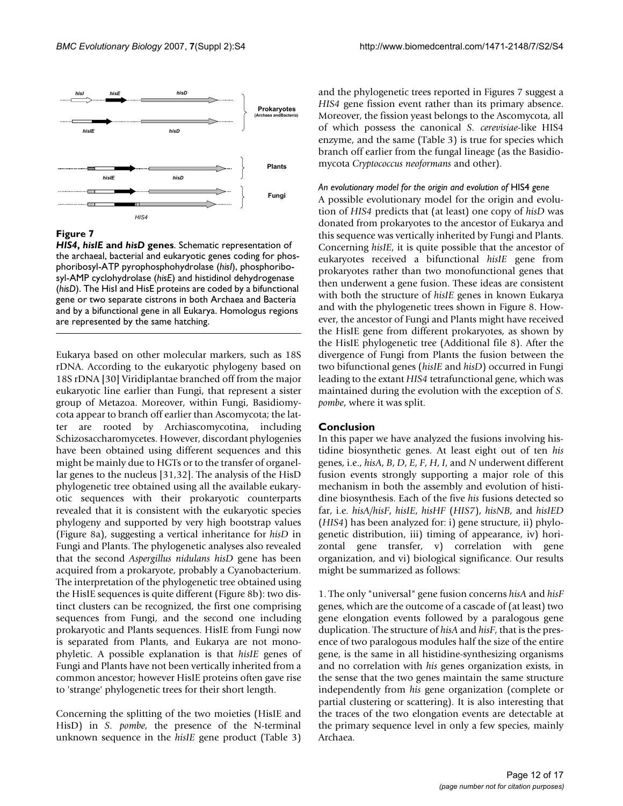

#### **Figure 7** *HIS4*, *hisIE* and *hisD* genes

*HIS4***,** *hisIE* **and** *hisD* **genes**. Schematic representation of the archaeal, bacterial and eukaryotic genes coding for phosphoribosyl-ATP pyrophosphohydrolase (*hisI*), phosphoribosyl-AMP cyclohydrolase (*hisE*) and histidinol dehydrogenase (*hisD*). The HisI and HisE proteins are coded by a bifunctional gene or two separate cistrons in both Archaea and Bacteria and by a bifunctional gene in all Eukarya. Homologus regions are represented by the same hatching.

Eukarya based on other molecular markers, such as 18S rDNA. According to the eukaryotic phylogeny based on 18S rDNA [30] Viridiplantae branched off from the major eukaryotic line earlier than Fungi, that represent a sister group of Metazoa. Moreover, within Fungi, Basidiomycota appear to branch off earlier than Ascomycota; the latter are rooted by Archiascomycotina, including Schizosaccharomycetes. However, discordant phylogenies have been obtained using different sequences and this might be mainly due to HGTs or to the transfer of organellar genes to the nucleus [31,32]. The analysis of the HisD phylogenetic tree obtained using all the available eukaryotic sequences with their prokaryotic counterparts revealed that it is consistent with the eukaryotic species phylogeny and supported by very high bootstrap values (Figure 8a), suggesting a vertical inheritance for *hisD* in Fungi and Plants. The phylogenetic analyses also revealed that the second *Aspergillus nidulans hisD* gene has been acquired from a prokaryote, probably a Cyanobacterium. The interpretation of the phylogenetic tree obtained using the HisIE sequences is quite different (Figure 8b): two distinct clusters can be recognized, the first one comprising sequences from Fungi, and the second one including prokaryotic and Plants sequences. HisIE from Fungi now is separated from Plants, and Eukarya are not monophyletic. A possible explanation is that *hisIE* genes of Fungi and Plants have not been vertically inherited from a common ancestor; however HisIE proteins often gave rise to 'strange' phylogenetic trees for their short length.

Concerning the splitting of the two moieties (HisIE and HisD) in *S. pombe*, the presence of the N-terminal unknown sequence in the *hisIE* gene product (Table 3)

and the phylogenetic trees reported in Figures 7 suggest a *HIS4* gene fission event rather than its primary absence. Moreover, the fission yeast belongs to the Ascomycota, all of which possess the canonical *S. cerevisiae*-like HIS4 enzyme, and the same (Table 3) is true for species which branch off earlier from the fungal lineage (as the Basidiomycota *Cryptococcus neoformans* and other).

#### *An evolutionary model for the origin and evolution of* HIS4 *gene*

A possible evolutionary model for the origin and evolution of *HIS4* predicts that (at least) one copy of *hisD* was donated from prokaryotes to the ancestor of Eukarya and this sequence was vertically inherited by Fungi and Plants. Concerning *hisIE*, it is quite possible that the ancestor of eukaryotes received a bifunctional *hisIE* gene from prokaryotes rather than two monofunctional genes that then underwent a gene fusion. These ideas are consistent with both the structure of *hisIE* genes in known Eukarya and with the phylogenetic trees shown in Figure 8. However, the ancestor of Fungi and Plants might have received the HisIE gene from different prokaryotes, as shown by the HisIE phylogenetic tree (Additional file 8). After the divergence of Fungi from Plants the fusion between the two bifunctional genes (*hisIE* and *hisD*) occurred in Fungi leading to the extant *HIS4* tetrafunctional gene, which was maintained during the evolution with the exception of *S. pombe*, where it was split.

#### **Conclusion**

In this paper we have analyzed the fusions involving histidine biosynthetic genes. At least eight out of ten *his* genes, i.e., *hisA*, *B*, *D*, *E*, *F*, *H*, *I*, and *N* underwent different fusion events strongly supporting a major role of this mechanism in both the assembly and evolution of histidine biosynthesis. Each of the five *his* fusions detected so far, i.e. *hisA/hisF*, *hisIE*, *hisHF* (*HIS7*), *hisNB*, and *hisIED* (*HIS4*) has been analyzed for: i) gene structure, ii) phylogenetic distribution, iii) timing of appearance, iv) horizontal gene transfer, v) correlation with gene organization, and vi) biological significance. Our results might be summarized as follows:

1. The only "universal" gene fusion concerns *hisA* and *hisF* genes, which are the outcome of a cascade of (at least) two gene elongation events followed by a paralogous gene duplication. The structure of *hisA* and *hisF*, that is the presence of two paralogous modules half the size of the entire gene, is the same in all histidine-synthesizing organisms and no correlation with *his* genes organization exists, in the sense that the two genes maintain the same structure independently from *his* gene organization (complete or partial clustering or scattering). It is also interesting that the traces of the two elongation events are detectable at the primary sequence level in only a few species, mainly Archaea.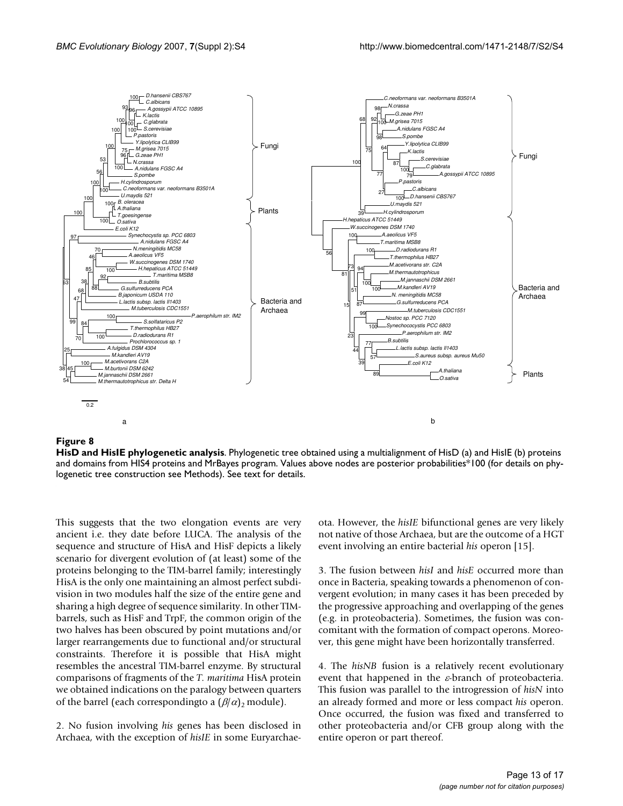

**HisD and HisIE phylogenetic analysis**. Phylogenetic tree obtained using a multialignment of HisD (a) and HisIE (b) proteins and domains from HIS4 proteins and MrBayes program. Values above nodes are posterior probabilities\*100 (for details on phylogenetic tree construction see Methods). See text for details.

This suggests that the two elongation events are very ancient i.e. they date before LUCA. The analysis of the sequence and structure of HisA and HisF depicts a likely scenario for divergent evolution of (at least) some of the proteins belonging to the TIM-barrel family; interestingly HisA is the only one maintaining an almost perfect subdivision in two modules half the size of the entire gene and sharing a high degree of sequence similarity. In other TIMbarrels, such as HisF and TrpF, the common origin of the two halves has been obscured by point mutations and/or larger rearrangements due to functional and/or structural constraints. Therefore it is possible that HisA might resembles the ancestral TIM-barrel enzyme. By structural comparisons of fragments of the *T. maritima* HisA protein we obtained indications on the paralogy between quarters of the barrel (each correspondingto a  $(\beta/\alpha)_2$  module).

2. No fusion involving *his* genes has been disclosed in Archaea, with the exception of *hisIE* in some Euryarchaeota. However, the *hisIE* bifunctional genes are very likely not native of those Archaea, but are the outcome of a HGT event involving an entire bacterial *his* operon [15].

3. The fusion between *hisI* and *hisE* occurred more than once in Bacteria, speaking towards a phenomenon of convergent evolution; in many cases it has been preceded by the progressive approaching and overlapping of the genes (e.g. in proteobacteria). Sometimes, the fusion was concomitant with the formation of compact operons. Moreover, this gene might have been horizontally transferred.

4. The *hisNB* fusion is a relatively recent evolutionary event that happened in the  $\varepsilon$ -branch of proteobacteria. This fusion was parallel to the introgression of *hisN* into an already formed and more or less compact *his* operon. Once occurred, the fusion was fixed and transferred to other proteobacteria and/or CFB group along with the entire operon or part thereof.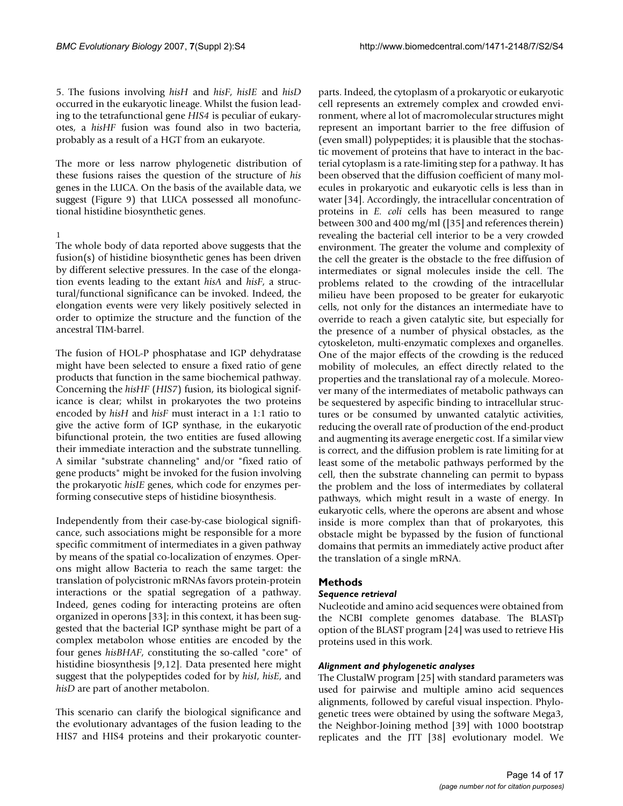5. The fusions involving *hisH* and *hisF*, *hisIE* and *hisD* occurred in the eukaryotic lineage. Whilst the fusion leading to the tetrafunctional gene *HIS4* is peculiar of eukaryotes, a *hisHF* fusion was found also in two bacteria, probably as a result of a HGT from an eukaryote.

The more or less narrow phylogenetic distribution of these fusions raises the question of the structure of *his* genes in the LUCA. On the basis of the available data, we suggest (Figure 9) that LUCA possessed all monofunctional histidine biosynthetic genes.

1

The whole body of data reported above suggests that the fusion(s) of histidine biosynthetic genes has been driven by different selective pressures. In the case of the elongation events leading to the extant *hisA* and *hisF*, a structural/functional significance can be invoked. Indeed, the elongation events were very likely positively selected in order to optimize the structure and the function of the ancestral TIM-barrel.

The fusion of HOL-P phosphatase and IGP dehydratase might have been selected to ensure a fixed ratio of gene products that function in the same biochemical pathway. Concerning the *hisHF* (*HIS7*) fusion, its biological significance is clear; whilst in prokaryotes the two proteins encoded by *hisH* and *hisF* must interact in a 1:1 ratio to give the active form of IGP synthase, in the eukaryotic bifunctional protein, the two entities are fused allowing their immediate interaction and the substrate tunnelling. A similar "substrate channeling" and/or "fixed ratio of gene products" might be invoked for the fusion involving the prokaryotic *hisIE* genes, which code for enzymes performing consecutive steps of histidine biosynthesis.

Independently from their case-by-case biological significance, such associations might be responsible for a more specific commitment of intermediates in a given pathway by means of the spatial co-localization of enzymes. Operons might allow Bacteria to reach the same target: the translation of polycistronic mRNAs favors protein-protein interactions or the spatial segregation of a pathway. Indeed, genes coding for interacting proteins are often organized in operons [33]; in this context, it has been suggested that the bacterial IGP synthase might be part of a complex metabolon whose entities are encoded by the four genes *hisBHAF*, constituting the so-called "core" of histidine biosynthesis [9,12]. Data presented here might suggest that the polypeptides coded for by *hisI*, *hisE*, and *hisD* are part of another metabolon.

This scenario can clarify the biological significance and the evolutionary advantages of the fusion leading to the HIS7 and HIS4 proteins and their prokaryotic counterparts. Indeed, the cytoplasm of a prokaryotic or eukaryotic cell represents an extremely complex and crowded environment, where al lot of macromolecular structures might represent an important barrier to the free diffusion of (even small) polypeptides; it is plausible that the stochastic movement of proteins that have to interact in the bacterial cytoplasm is a rate-limiting step for a pathway. It has been observed that the diffusion coefficient of many molecules in prokaryotic and eukaryotic cells is less than in water [34]. Accordingly, the intracellular concentration of proteins in *E. coli* cells has been measured to range between 300 and 400 mg/ml ([35] and references therein) revealing the bacterial cell interior to be a very crowded environment. The greater the volume and complexity of the cell the greater is the obstacle to the free diffusion of intermediates or signal molecules inside the cell. The problems related to the crowding of the intracellular milieu have been proposed to be greater for eukaryotic cells, not only for the distances an intermediate have to override to reach a given catalytic site, but especially for the presence of a number of physical obstacles, as the cytoskeleton, multi-enzymatic complexes and organelles. One of the major effects of the crowding is the reduced mobility of molecules, an effect directly related to the properties and the translational ray of a molecule. Moreover many of the intermediates of metabolic pathways can be sequestered by aspecific binding to intracellular structures or be consumed by unwanted catalytic activities, reducing the overall rate of production of the end-product and augmenting its average energetic cost. If a similar view is correct, and the diffusion problem is rate limiting for at least some of the metabolic pathways performed by the cell, then the substrate channeling can permit to bypass the problem and the loss of intermediates by collateral pathways, which might result in a waste of energy. In eukaryotic cells, where the operons are absent and whose inside is more complex than that of prokaryotes, this obstacle might be bypassed by the fusion of functional domains that permits an immediately active product after the translation of a single mRNA.

# **Methods**

#### *Sequence retrieval*

Nucleotide and amino acid sequences were obtained from the NCBI complete genomes database. The BLASTp option of the BLAST program [24] was used to retrieve His proteins used in this work.

#### *Alignment and phylogenetic analyses*

The ClustalW program [25] with standard parameters was used for pairwise and multiple amino acid sequences alignments, followed by careful visual inspection. Phylogenetic trees were obtained by using the software Mega3, the Neighbor-Joining method [39] with 1000 bootstrap replicates and the JTT [38] evolutionary model. We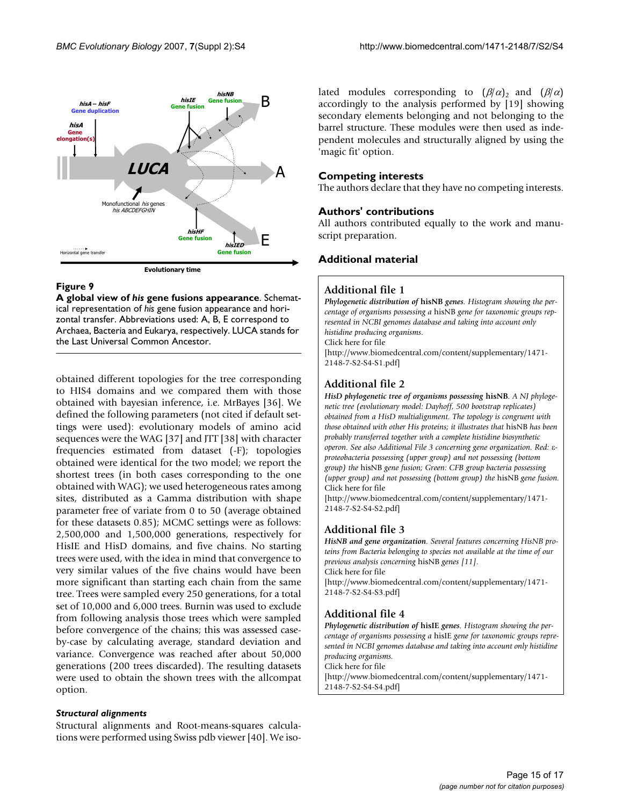



**A global view of** *his* **gene fusions appearance**. Schematical representation of *his* gene fusion appearance and horizontal transfer. Abbreviations used: A, B, E correspond to Archaea, Bacteria and Eukarya, respectively. LUCA stands for the Last Universal Common Ancestor.

obtained different topologies for the tree corresponding to HIS4 domains and we compared them with those obtained with bayesian inference, i.e. MrBayes [36]. We defined the following parameters (not cited if default settings were used): evolutionary models of amino acid sequences were the WAG [37] and JTT [38] with character frequencies estimated from dataset (-F); topologies obtained were identical for the two model; we report the shortest trees (in both cases corresponding to the one obtained with WAG); we used heterogeneous rates among sites, distributed as a Gamma distribution with shape parameter free of variate from 0 to 50 (average obtained for these datasets 0.85); MCMC settings were as follows: 2,500,000 and 1,500,000 generations, respectively for HisIE and HisD domains, and five chains. No starting trees were used, with the idea in mind that convergence to very similar values of the five chains would have been more significant than starting each chain from the same tree. Trees were sampled every 250 generations, for a total set of 10,000 and 6,000 trees. Burnin was used to exclude from following analysis those trees which were sampled before convergence of the chains; this was assessed caseby-case by calculating average, standard deviation and variance. Convergence was reached after about 50,000 generations (200 trees discarded). The resulting datasets were used to obtain the shown trees with the allcompat option.

# *Structural alignments*

Structural alignments and Root-means-squares calculations were performed using Swiss pdb viewer [40]. We isolated modules corresponding to  $(\beta/\alpha)$  and  $(\beta/\alpha)$ accordingly to the analysis performed by [19] showing secondary elements belonging and not belonging to the barrel structure. These modules were then used as independent molecules and structurally aligned by using the 'magic fit' option.

# **Competing interests**

The authors declare that they have no competing interests.

# **Authors' contributions**

All authors contributed equally to the work and manuscript preparation.

# **Additional material**

# **Additional file 1**

*Phylogenetic distribution of* **hisNB** *genes. Histogram showing the percentage of organisms possessing a* hisNB *gene for taxonomic groups represented in NCBI genomes database and taking into account only histidine producing organisms.* Click here for file [\[http://www.biomedcentral.com/content/supplementary/1471-](http://www.biomedcentral.com/content/supplementary/1471-2148-7-S2-S4-S1.pdf) 2148-7-S2-S4-S1.pdf]

# **Additional file 2**

*HisD phylogenetic tree of organisms possessing* **hisNB***. A NJ phylogenetic tree (evolutionary model: Dayhoff, 500 bootstrap replicates) obtained from a HisD multialignment. The topology is congruent with those obtained with other His proteins; it illustrates that* hisNB *has been probably transferred together with a complete histidine biosynthetic operon. See also Additional File 3 concerning gene organization. Red:* ε*proteobacteria possessing (upper group) and not possessing (bottom group) the* hisNB *gene fusion; Green: CFB group bacteria possessing (upper group) and not possessing (bottom group) the* hisNB *gene fusion.* Click here for file

[\[http://www.biomedcentral.com/content/supplementary/1471-](http://www.biomedcentral.com/content/supplementary/1471-2148-7-S2-S4-S2.pdf) 2148-7-S2-S4-S2.pdf]

# **Additional file 3**

*HisNB and gene organization. Several features concerning HisNB proteins from Bacteria belonging to species not available at the time of our previous analysis concerning* hisNB *genes [11].* Click here for file [\[http://www.biomedcentral.com/content/supplementary/1471-](http://www.biomedcentral.com/content/supplementary/1471-2148-7-S2-S4-S3.pdf) 2148-7-S2-S4-S3.pdf]

# **Additional file 4**

*Phylogenetic distribution of* **hisIE** *genes. Histogram showing the percentage of organisms possessing a* hisIE *gene for taxonomic groups represented in NCBI genomes database and taking into account only histidine producing organisms.*

Click here for file

[\[http://www.biomedcentral.com/content/supplementary/1471-](http://www.biomedcentral.com/content/supplementary/1471-2148-7-S2-S4-S4.pdf) 2148-7-S2-S4-S4.pdf]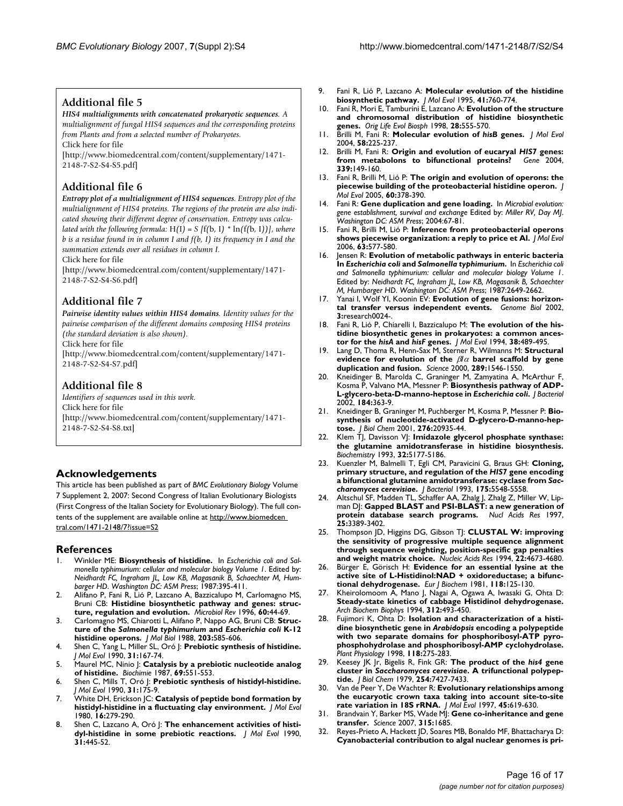# **Additional file 5**

*HIS4 multialignments with concatenated prokaryotic sequences. A multialignment of fungal HIS4 sequences and the corresponding proteins from Plants and from a selected number of Prokaryotes.*

Click here for file

[\[http://www.biomedcentral.com/content/supplementary/1471-](http://www.biomedcentral.com/content/supplementary/1471-2148-7-S2-S4-S5.pdf) 2148-7-S2-S4-S5.pdf]

# **Additional file 6**

*Entropy plot of a multialignment of HIS4 sequences. Entropy plot of the multialignment of HIS4 proteins. The regions of the protein are also indicated showing their different degree of conservation. Entropy was calculated with the following formula:*  $H(I) = S$   $\{f(b, I) * ln(f(b, I))\}$ , where *b is a residue found in in column I and f(b, I) its frequency in I and the summation extends over all residues in column I.*

Click here for file

[\[http://www.biomedcentral.com/content/supplementary/1471-](http://www.biomedcentral.com/content/supplementary/1471-2148-7-S2-S4-S6.pdf) 2148-7-S2-S4-S6.pdf]

# **Additional file 7**

*Pairwise identity values within HIS4 domains. Identity values for the pairwise comparison of the different domains composing HIS4 proteins (the standard deviation is also shown).* Click here for file

[\[http://www.biomedcentral.com/content/supplementary/1471-](http://www.biomedcentral.com/content/supplementary/1471-2148-7-S2-S4-S7.pdf) 2148-7-S2-S4-S7.pdf]

# **Additional file 8**

*Identifiers of sequences used in this work.* Click here for file [\[http://www.biomedcentral.com/content/supplementary/1471-](http://www.biomedcentral.com/content/supplementary/1471-2148-7-S2-S4-S8.txt) 2148-7-S2-S4-S8.txt]

# **Acknowledgements**

This article has been published as part of *BMC Evolutionary Biology* Volume 7 Supplement 2, 2007: Second Congress of Italian Evolutionary Biologists (First Congress of the Italian Society for Evolutionary Biology). The full contents of the supplement are available online at http://www.biomedcen [tral.com/1471-2148/7?issue=S2](http://www.biomedcentral.com/1471-2148/7?issue=S2)

# **References**

- 1. Winkler ME: **Biosynthesis of histidine.** In *Escherichia coli and Salmonella typhimurium: cellular and molecular biology Volume 1*. Edited by: *Neidhardt FC, Ingraham JL, Low KB, Magasanik B, Schaechter M, Humbarger HD*. *Washington DC: ASM Press*; 1987:395-411.
- 2. Alifano P, Fani R, Lió P, Lazcano A, Bazzicalupo M, Carlomagno MS, Bruni CB: **[Histidine biosynthetic pathway and genes: struc](http://www.ncbi.nlm.nih.gov/entrez/query.fcgi?cmd=Retrieve&db=PubMed&dopt=Abstract&list_uids=8852895)[ture, regulation and evolution.](http://www.ncbi.nlm.nih.gov/entrez/query.fcgi?cmd=Retrieve&db=PubMed&dopt=Abstract&list_uids=8852895)** *Microbiol Rev* 1996, **60:**44-69.
- 3. Carlomagno MS, Chiarotti L, Alifano P, Nappo AG, Bruni CB: **Structure of the** *Salmonella typhimurium* **and** *Escherichia coli* **[K-12](http://www.ncbi.nlm.nih.gov/entrez/query.fcgi?cmd=Retrieve&db=PubMed&dopt=Abstract&list_uids=3062174) [histidine operons.](http://www.ncbi.nlm.nih.gov/entrez/query.fcgi?cmd=Retrieve&db=PubMed&dopt=Abstract&list_uids=3062174)** *J Mol Biol* 1988, **203:**585-606.
- 4. Shen C, Yang L, Miller SL, Oró J: **[Prebiotic synthesis of histidine.](http://www.ncbi.nlm.nih.gov/entrez/query.fcgi?cmd=Retrieve&db=PubMed&dopt=Abstract&list_uids=11536478)** *J Mol Evol* 1990, **31:**167-74.
- 5. Maurel MC, Ninio J: **[Catalysis by a prebiotic nucleotide analog](http://www.ncbi.nlm.nih.gov/entrez/query.fcgi?cmd=Retrieve&db=PubMed&dopt=Abstract&list_uids=2445388) [of histidine.](http://www.ncbi.nlm.nih.gov/entrez/query.fcgi?cmd=Retrieve&db=PubMed&dopt=Abstract&list_uids=2445388)** *Biochimie* 1987, **69:**551-553.
- 6. Shen C, Mills T, Oró J: **[Prebiotic synthesis of histidyl-histidine.](http://www.ncbi.nlm.nih.gov/entrez/query.fcgi?cmd=Retrieve&db=PubMed&dopt=Abstract&list_uids=11536479)** *J Mol Evol* 1990, **31:**175-9.
- 7. White DH, Erickson JC: **[Catalysis of peptide bond formation by](http://www.ncbi.nlm.nih.gov/entrez/query.fcgi?cmd=Retrieve&db=PubMed&dopt=Abstract&list_uids=7205965) [histidyl-histidine in a fluctuating clay environment.](http://www.ncbi.nlm.nih.gov/entrez/query.fcgi?cmd=Retrieve&db=PubMed&dopt=Abstract&list_uids=7205965)** *J Mol Evol* 1980, **16:**279-290.
- 8. Shen C, Lazcano A, Oró J: **[The enhancement activities of histi](http://www.ncbi.nlm.nih.gov/entrez/query.fcgi?cmd=Retrieve&db=PubMed&dopt=Abstract&list_uids=11540924)[dyl-histidine in some prebiotic reactions.](http://www.ncbi.nlm.nih.gov/entrez/query.fcgi?cmd=Retrieve&db=PubMed&dopt=Abstract&list_uids=11540924)** *J Mol Evol* 1990, **31:**445-52.
- 9. Fani R, Lió P, Lazcano A: **[Molecular evolution of the histidine](http://www.ncbi.nlm.nih.gov/entrez/query.fcgi?cmd=Retrieve&db=PubMed&dopt=Abstract&list_uids=8587121) [biosynthetic pathway.](http://www.ncbi.nlm.nih.gov/entrez/query.fcgi?cmd=Retrieve&db=PubMed&dopt=Abstract&list_uids=8587121)** *J Mol Evol* 1995, **41:**760-774.
- 10. Fani R, Mori E, Tamburini E, Lazcano A: **[Evolution of the structure](http://www.ncbi.nlm.nih.gov/entrez/query.fcgi?cmd=Retrieve&db=PubMed&dopt=Abstract&list_uids=9742729) [and chromosomal distribution of histidine biosynthetic](http://www.ncbi.nlm.nih.gov/entrez/query.fcgi?cmd=Retrieve&db=PubMed&dopt=Abstract&list_uids=9742729) [genes.](http://www.ncbi.nlm.nih.gov/entrez/query.fcgi?cmd=Retrieve&db=PubMed&dopt=Abstract&list_uids=9742729)** *Orig Life Evol Biosph* 1998, **28:**555-570.
- 11. Brilli M, Fani R: **Molecular evolution of** *hisB* **[genes.](http://www.ncbi.nlm.nih.gov/entrez/query.fcgi?cmd=Retrieve&db=PubMed&dopt=Abstract&list_uids=15042344)** *J Mol Evol* 2004, **58:**225-237.
- 12. Brilli M, Fani R: **Origin and evolution of eucaryal** *HIS7* **[genes:](http://www.ncbi.nlm.nih.gov/entrez/query.fcgi?cmd=Retrieve&db=PubMed&dopt=Abstract&list_uids=15363855) [from metabolons to bifunctional proteins?](http://www.ncbi.nlm.nih.gov/entrez/query.fcgi?cmd=Retrieve&db=PubMed&dopt=Abstract&list_uids=15363855)** *Gene* 2004, **339:**149-160.
- 13. Fani R, Brilli M, Lió P: **[The origin and evolution of operons: the](http://www.ncbi.nlm.nih.gov/entrez/query.fcgi?cmd=Retrieve&db=PubMed&dopt=Abstract&list_uids=15871048) [piecewise building of the proteobacterial histidine operon.](http://www.ncbi.nlm.nih.gov/entrez/query.fcgi?cmd=Retrieve&db=PubMed&dopt=Abstract&list_uids=15871048)** *J Mol Evol* 2005, **60:**378-390.
- 14. Fani R: **Gene duplication and gene loading.** In *Microbial evolution: gene establishment, survival and exchange* Edited by: *Miller RV, Day MJ*. *Washington DC: ASM Press*; 2004:67-81.
- 15. Fani R, Brilli M, Lió P: **[Inference from proteobacterial operons](http://www.ncbi.nlm.nih.gov/entrez/query.fcgi?cmd=Retrieve&db=PubMed&dopt=Abstract&list_uids=16955235) [shows piecewise organization: a reply to price et Al.](http://www.ncbi.nlm.nih.gov/entrez/query.fcgi?cmd=Retrieve&db=PubMed&dopt=Abstract&list_uids=16955235)** *J Mol Evol* 2006, **63:**577-580.
- 16. Jensen R: **Evolution of metabolic pathways in enteric bacteria In** *Escherichia coli* **and** *Salmonella typhimurium***.** In *Escherichia coli and Salmonella typhimurium: cellular and molecular biology Volume 1*. Edited by: *Neidhardt FC, Ingraham JL, Low KB, Magasanik B, Schaechter M, Humbarger HD*. *Washington DC: ASM Press*; 1987:2649-2662.
- 17. Yanai I, Wolf YI, Koonin EV: **[Evolution of gene fusions: horizon](http://www.ncbi.nlm.nih.gov/entrez/query.fcgi?cmd=Retrieve&db=PubMed&dopt=Abstract&list_uids=12049665)[tal transfer versus independent events.](http://www.ncbi.nlm.nih.gov/entrez/query.fcgi?cmd=Retrieve&db=PubMed&dopt=Abstract&list_uids=12049665)** *Genome Biol* 2002, **3:**research0024-.
- 18. Fani R, Lió P, Chiarelli I, Bazzicalupo M: **The evolution of the histidine biosynthetic genes in prokaryotes: a common ancestor for the** *hisA* **and** *hisF* **[genes.](http://www.ncbi.nlm.nih.gov/entrez/query.fcgi?cmd=Retrieve&db=PubMed&dopt=Abstract&list_uids=8028028)** *J Mol Evol* 1994, **38:**489-495.
- Lang D, Thoma R, Henn-Sax M, Sterner R, Wilmanns M: Structural **evidence for evolution of the** β**/**<sup>α</sup> **[barrel scaffold by gene](http://www.ncbi.nlm.nih.gov/entrez/query.fcgi?cmd=Retrieve&db=PubMed&dopt=Abstract&list_uids=10968789) [duplication and fusion.](http://www.ncbi.nlm.nih.gov/entrez/query.fcgi?cmd=Retrieve&db=PubMed&dopt=Abstract&list_uids=10968789)** *Science* 2000, **289:**1546-1550.
- 20. Kneidinger B, Marolda C, Graninger M, Zamyatina A, McArthur F, Kosma P, Valvano MA, Messner P: **Biosynthesis pathway of ADP-L-glycero-beta-D-manno-heptose in** *Escherichia coli***[.](http://www.ncbi.nlm.nih.gov/entrez/query.fcgi?cmd=Retrieve&db=PubMed&dopt=Abstract&list_uids=11751812)** *J Bacteriol* 2002, **184:**363-9.
- 21. Kneidinger B, Graninger M, Puchberger M, Kosma P, Messner P: **[Bio](http://www.ncbi.nlm.nih.gov/entrez/query.fcgi?cmd=Retrieve&db=PubMed&dopt=Abstract&list_uids=11279237)[synthesis of nucleotide-activated D-glycero-D-manno-hep](http://www.ncbi.nlm.nih.gov/entrez/query.fcgi?cmd=Retrieve&db=PubMed&dopt=Abstract&list_uids=11279237)[tose.](http://www.ncbi.nlm.nih.gov/entrez/query.fcgi?cmd=Retrieve&db=PubMed&dopt=Abstract&list_uids=11279237)** *J Biol Chem* 2001, **276:**20935-44.
- Klem TJ, Davisson VJ: [Imidazole glycerol phosphate synthase:](http://www.ncbi.nlm.nih.gov/entrez/query.fcgi?cmd=Retrieve&db=PubMed&dopt=Abstract&list_uids=8494895) **[the glutamine amidotransferase in histidine biosynthesis.](http://www.ncbi.nlm.nih.gov/entrez/query.fcgi?cmd=Retrieve&db=PubMed&dopt=Abstract&list_uids=8494895)** *Biochemistry* 1993, **32:**5177-5186.
- 23. Kuenzler M, Balmelli T, Egli CM, Paravicini G, Braus GH: **Cloning, primary structure, and regulation of the** *HIS7* **gene encoding a bifunctional glutamine amidotransferase: cyclase from** *Saccharomyces cerevisiae***[.](http://www.ncbi.nlm.nih.gov/entrez/query.fcgi?cmd=Retrieve&db=PubMed&dopt=Abstract&list_uids=8366040)** *J Bacteriol* 1993, **175:**5548-5558.
- 24. Altschul SF, Madden TL, Schaffer AA, Zhalg J, Zhalg Z, Miller W, Lipman DJ: **[Gapped BLAST and PSI-BLAST: a new generation of](http://www.ncbi.nlm.nih.gov/entrez/query.fcgi?cmd=Retrieve&db=PubMed&dopt=Abstract&list_uids=9254694) [protein database search programs.](http://www.ncbi.nlm.nih.gov/entrez/query.fcgi?cmd=Retrieve&db=PubMed&dopt=Abstract&list_uids=9254694)** *Nucl Acids Res* 1997, **25:**3389-3402.
- 25. Thompson JD, Higgins DG, Gibson TJ: **[CLUSTAL W: improving](http://www.ncbi.nlm.nih.gov/entrez/query.fcgi?cmd=Retrieve&db=PubMed&dopt=Abstract&list_uids=7984417) [the sensitivity of progressive multiple sequence alignment](http://www.ncbi.nlm.nih.gov/entrez/query.fcgi?cmd=Retrieve&db=PubMed&dopt=Abstract&list_uids=7984417) through sequence weighting, position-specific gap penalties [and weight matrix choice.](http://www.ncbi.nlm.nih.gov/entrez/query.fcgi?cmd=Retrieve&db=PubMed&dopt=Abstract&list_uids=7984417)** *Nucleic Acids Res* 1994, **22:**4673-4680.
- 26. Bürger E, Görisch H: **[Evidence for an essential lysine at the](http://www.ncbi.nlm.nih.gov/entrez/query.fcgi?cmd=Retrieve&db=PubMed&dopt=Abstract&list_uids=6793363) [active site of L-Histidinol:NAD + oxidoreductase; a bifunc](http://www.ncbi.nlm.nih.gov/entrez/query.fcgi?cmd=Retrieve&db=PubMed&dopt=Abstract&list_uids=6793363)[tional dehydrogenase.](http://www.ncbi.nlm.nih.gov/entrez/query.fcgi?cmd=Retrieve&db=PubMed&dopt=Abstract&list_uids=6793363)** *Eur J Biochem* 1981, **118:**125-130.
- 27. Kheirolomoom A, Mano J, Nagai A, Ogawa A, Iwasaki G, Ohta D: **[Steady-state kinetics of cabbage Histidinol dehydrogenase.](http://www.ncbi.nlm.nih.gov/entrez/query.fcgi?cmd=Retrieve&db=PubMed&dopt=Abstract&list_uids=8037463)** *Arch Biochem Biophys* 1994, **312:**493-450.
- 28. Fujimori K, Ohta D: **Isolation and characterization of a histidine biosynthetic gene in** *Arabidopsis* **[encoding a polypeptide](http://www.ncbi.nlm.nih.gov/entrez/query.fcgi?cmd=Retrieve&db=PubMed&dopt=Abstract&list_uids=9733547) [with two separate domains for phosphoribosyl-ATP pyro](http://www.ncbi.nlm.nih.gov/entrez/query.fcgi?cmd=Retrieve&db=PubMed&dopt=Abstract&list_uids=9733547)phosphohydrolase and phosphoribosyl-AMP cyclohydrolase.** *Plant Physiology* 1998, **118:**275-283.
- <span id="page-15-0"></span>29. Keesey JK Jr, Bigelis R, Fink GR: **The product of the** *his4* **gene cluster in** *Saccharomyces cerevisiae***[. A trifunctional polypep](http://www.ncbi.nlm.nih.gov/entrez/query.fcgi?cmd=Retrieve&db=PubMed&dopt=Abstract&list_uids=379004)[tide.](http://www.ncbi.nlm.nih.gov/entrez/query.fcgi?cmd=Retrieve&db=PubMed&dopt=Abstract&list_uids=379004)** *J Biol Chem* 1979, **254:**7427-7433.
- 30. Van de Peer Y, De Wachter R: **[Evolutionary relationships among](http://www.ncbi.nlm.nih.gov/entrez/query.fcgi?cmd=Retrieve&db=PubMed&dopt=Abstract&list_uids=9419239) [the eucaryotic crown taxa taking into account site-to-site](http://www.ncbi.nlm.nih.gov/entrez/query.fcgi?cmd=Retrieve&db=PubMed&dopt=Abstract&list_uids=9419239) [rate variation in 18S rRNA.](http://www.ncbi.nlm.nih.gov/entrez/query.fcgi?cmd=Retrieve&db=PubMed&dopt=Abstract&list_uids=9419239)** *J Mol Evol* 1997, **45:**619-630.
- 31. Brandvain Y, Barker MS, Wade MJ: **[Gene co-inheritance and gene](http://www.ncbi.nlm.nih.gov/entrez/query.fcgi?cmd=Retrieve&db=PubMed&dopt=Abstract&list_uids=17379800) [transfer.](http://www.ncbi.nlm.nih.gov/entrez/query.fcgi?cmd=Retrieve&db=PubMed&dopt=Abstract&list_uids=17379800)** *Science* 2007, **315:**1685.
- 32. Reyes-Prieto A, Hackett JD, Soares MB, Bonaldo MF, Bhattacharya D: **[Cyanobacterial contribution to algal nuclear genomes is pri](http://www.ncbi.nlm.nih.gov/entrez/query.fcgi?cmd=Retrieve&db=PubMed&dopt=Abstract&list_uids=17141613)-**